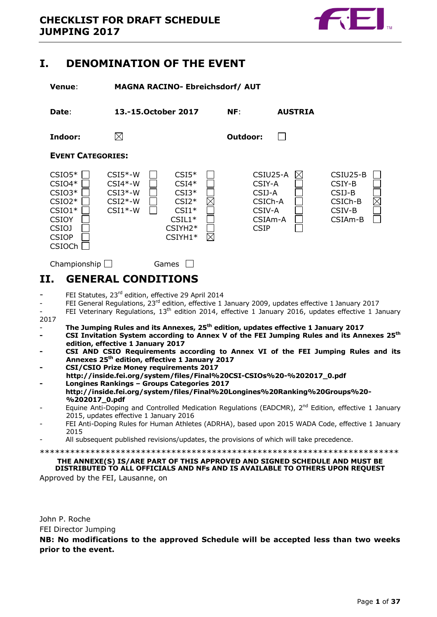

# <span id="page-0-0"></span>**I. DENOMINATION OF THE EVENT**

**Venue**: **MAGNA RACINO- Ebreichsdorf/ AUT**

**Date**: **13.-15.October 2017 NF**: **AUSTRIA Indoor: Outdoor:** П **EVENT CATEGORIES:** CSIO5\* CSI5\*-W CSI5\* CSIU25-A CSIU25-B  $\mathsf{CSI04*}\sqcup\phantom{00} \mathsf{CSI4*}\sqcup\phantom{00} \mathsf{CSI1*}\sqcup\phantom{00} \mathsf{CSI1*}\sqcup\phantom{00} \mathsf{CSI1*}\sqcup\phantom{00}$  $CSIO3^*$   $CSI3^*W$   $CSI3^*$   $CSI3^*$   $CSI3^*$   $CSI3^*$   $CSI3^*$   $CSI3^*$  $\mathsf{CSIO2}^*\bigsqcup\mathsf{CSI2}^*\mathsf{-W}\bigsqcup\mathsf{CSI2}^*\bigsqcup\mathsf{CSICh\text{-}B}$  $\text{CSI01*} \ \bigsqcup \quad \text{CSI1*-W} \ \bigsqcup \quad \text{CSI1*} \ \bigsqcup \quad \quad \text{CSIV-A} \ \ \bigsqcup \quad \quad \text{CSIV-B}$ CSIOYCSIL1\* CSIAm-A CSIAm-B CSIOJCSIYH2\* CSIP CSIOPCSIYH1\*  $\boxtimes$ CSIOCh

# <span id="page-0-1"></span>**II. GENERAL CONDITIONS**

Championship  $\Box$  Games  $\Box$ 

- FEI Statutes, 23rd edition, effective 29 April 2014
- FEI General Regulations,  $23<sup>rd</sup>$  edition, effective 1 January 2009, updates effective 1 January 2017
- FEI Veterinary Regulations, 13<sup>th</sup> edition 2014, effective 1 January 2016, updates effective 1 January 2017
- **The Jumping Rules and its Annexes, 25th edition, updates effective 1 January 2017**
- **- CSI Invitation System according to Annex V of the FEI Jumping Rules and its Annexes 25th edition, effective 1 January 2017**
- **- CSI AND CSIO Requirements according to Annex VI of the FEI Jumping Rules and its Annexes 25th edition, effective 1 January 2017**
- **- CSI/CSIO Prize Money requirements 2017**
- **http://inside.fei.org/system/files/Final%20CSI-CSIOs%20-%202017\_0.pdf - Longines Rankings – Groups Categories 2017**
- **http://inside.fei.org/system/files/Final%20Longines%20Ranking%20Groups%20- %202017\_0.pdf**
- Equine Anti-Doping and Controlled Medication Regulations (EADCMR), 2<sup>nd</sup> Edition, effective 1 January 2015, updates effective 1 January 2016
- FEI Anti-Doping Rules for Human Athletes (ADRHA), based upon 2015 WADA Code, effective 1 January 2015
- All subsequent published revisions/updates, the provisions of which will take precedence.

\*\*\*\*\*\*\*\*\*\*\*\*\*\*\*\*\*\*\*\*\*\*\*\*\*\*\*\*\*\*\*\*\*\*\*\*\*\*\*\*\*\*\*\*\*\*\*\*\*\*\*\*\*\*\*\*\*\*\*\*\*\*\*\*\*\*\*\*\*\*\*

# **THE ANNEXE(S) IS/ARE PART OF THIS APPROVED AND SIGNED SCHEDULE AND MUST BE DISTRIBUTED TO ALL OFFICIALS AND NFs AND IS AVAILABLE TO OTHERS UPON REQUEST**

Approved by the FEI, Lausanne, on

John P. Roche FEI Director Jumping

**NB: No modifications to the approved Schedule will be accepted less than two weeks prior to the event.**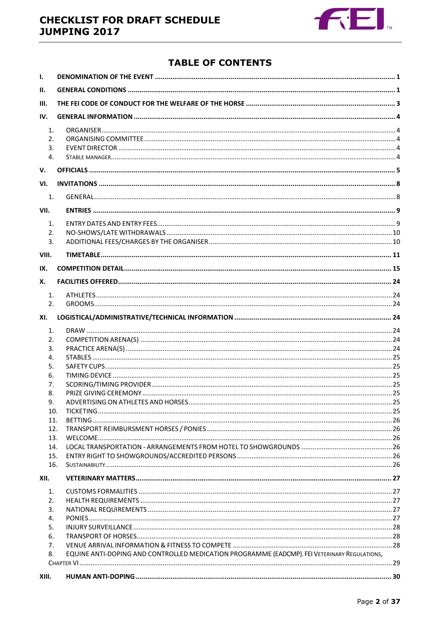

# **TABLE OF CONTENTS**

| Ι.                               |                                                                                              |  |
|----------------------------------|----------------------------------------------------------------------------------------------|--|
| Н.                               |                                                                                              |  |
| III.                             |                                                                                              |  |
| IV.                              |                                                                                              |  |
| $\mathbf{1}$ .<br>2.<br>3.<br>4. |                                                                                              |  |
| v.                               |                                                                                              |  |
| VI.                              |                                                                                              |  |
| 1.                               |                                                                                              |  |
| VII.                             |                                                                                              |  |
| 1.                               |                                                                                              |  |
| 2.                               |                                                                                              |  |
| 3.                               |                                                                                              |  |
| VIII.                            |                                                                                              |  |
| IX.                              |                                                                                              |  |
| Х.                               |                                                                                              |  |
| 1.                               |                                                                                              |  |
| 2.                               |                                                                                              |  |
| XI.                              |                                                                                              |  |
| 1.                               |                                                                                              |  |
| 2.                               |                                                                                              |  |
| 3.                               |                                                                                              |  |
| 4.                               |                                                                                              |  |
| 5.                               |                                                                                              |  |
| 6.                               |                                                                                              |  |
| 7.                               |                                                                                              |  |
| 8.                               |                                                                                              |  |
| 9.                               |                                                                                              |  |
| 10.<br>11.                       |                                                                                              |  |
| 12.                              |                                                                                              |  |
| 13.                              |                                                                                              |  |
| 14.                              |                                                                                              |  |
| 15.                              |                                                                                              |  |
| 16.                              |                                                                                              |  |
| XII.                             |                                                                                              |  |
| 1.                               |                                                                                              |  |
| 2.                               |                                                                                              |  |
| 3.                               |                                                                                              |  |
| 4.                               |                                                                                              |  |
| 5.                               |                                                                                              |  |
| 6.                               |                                                                                              |  |
| 7.                               |                                                                                              |  |
| 8.                               | EQUINE ANTI-DOPING AND CONTROLLED MEDICATION PROGRAMME (EADCMP). FEI VETERINARY REGULATIONS, |  |
|                                  |                                                                                              |  |
| XIII.                            |                                                                                              |  |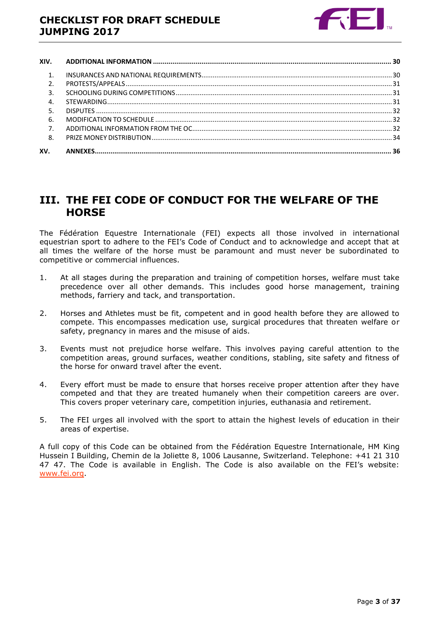

| XIV.           |  |
|----------------|--|
| 1 <sup>1</sup> |  |
| 2.             |  |
| 3.             |  |
| 4.             |  |
|                |  |
| 6.             |  |
| 7 <sub>1</sub> |  |
| 8.             |  |
| XV.            |  |

# <span id="page-2-0"></span>**III. THE FEI CODE OF CONDUCT FOR THE WELFARE OF THE HORSE**

The Fédération Equestre Internationale (FEI) expects all those involved in international equestrian sport to adhere to the FEI's Code of Conduct and to acknowledge and accept that at all times the welfare of the horse must be paramount and must never be subordinated to competitive or commercial influences.

- 1. At all stages during the preparation and training of competition horses, welfare must take precedence over all other demands. This includes good horse management, training methods, farriery and tack, and transportation.
- 2. Horses and Athletes must be fit, competent and in good health before they are allowed to compete. This encompasses medication use, surgical procedures that threaten welfare or safety, pregnancy in mares and the misuse of aids.
- 3. Events must not prejudice horse welfare. This involves paying careful attention to the competition areas, ground surfaces, weather conditions, stabling, site safety and fitness of the horse for onward travel after the event.
- 4. Every effort must be made to ensure that horses receive proper attention after they have competed and that they are treated humanely when their competition careers are over. This covers proper veterinary care, competition injuries, euthanasia and retirement.
- 5. The FEI urges all involved with the sport to attain the highest levels of education in their areas of expertise.

A full copy of this Code can be obtained from the Fédération Equestre Internationale, HM King Hussein I Building, Chemin de la Joliette 8, 1006 Lausanne, Switzerland. Telephone: +41 21 310 47 47. The Code is available in English. The Code is also available on the FEI's website: [www.fei.org.](http://www.fei.org/)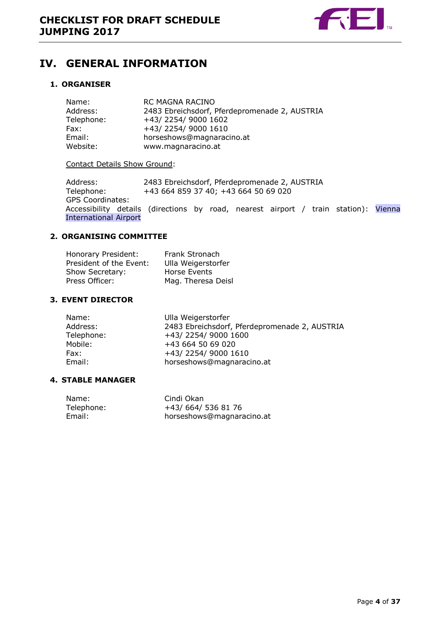

# <span id="page-3-0"></span>**IV. GENERAL INFORMATION**

### <span id="page-3-1"></span>**1. ORGANISER**

| Name:      | RC MAGNA RACINO                               |
|------------|-----------------------------------------------|
| Address:   | 2483 Ebreichsdorf, Pferdepromenade 2, AUSTRIA |
| Telephone: | +43/2254/9000 1602                            |
| Fax:       | +43/2254/9000 1610                            |
| Email:     | horseshows@magnaracino.at                     |
| Website:   | www.magnaracino.at                            |

#### Contact Details Show Ground:

Address: 2483 Ebreichsdorf, Pferdepromenade 2, AUSTRIA<br>Telephone: +43 664 859 37 40; +43 664 50 69 020 +43 664 859 37 40; +43 664 50 69 020 GPS Coordinates: Accessibility details (directions by road, nearest airport / train station): Vienna International Airport

# <span id="page-3-2"></span>**2. ORGANISING COMMITTEE**

| Honorary President:     | Frank Stronach     |
|-------------------------|--------------------|
| President of the Event: | Ulla Weigerstorfer |
| Show Secretary:         | Horse Events       |
| Press Officer:          | Mag. Theresa Deisl |

### <span id="page-3-3"></span>**3. EVENT DIRECTOR**

| Name:      | Ulla Weigerstorfer                            |
|------------|-----------------------------------------------|
| Address:   | 2483 Ebreichsdorf, Pferdepromenade 2, AUSTRIA |
| Telephone: | +43/2254/9000 1600                            |
| Mobile:    | +43 664 50 69 020                             |
| Fax:       | +43/2254/9000 1610                            |
| Email:     | horseshows@magnaracino.at                     |
|            |                                               |

### <span id="page-3-4"></span>**4. STABLE MANAGER**

| Name:      | Cindi Okan                |
|------------|---------------------------|
| Telephone: | +43/664/5368176           |
| Email:     | horseshows@magnaracino.at |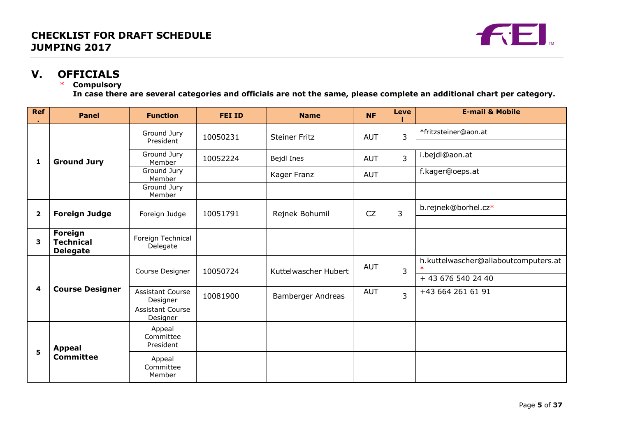

# **V. OFFICIALS**

# \* **Compulsory**

**In case there are several categories and officials are not the same, please complete an additional chart per category.**

<span id="page-4-0"></span>

| <b>Ref</b>     | <b>Panel</b>                                   | <b>Function</b>                     | <b>FEI ID</b> | <b>Name</b>          | <b>NF</b>  | <b>Leve</b>    | <b>E-mail &amp; Mobile</b>           |
|----------------|------------------------------------------------|-------------------------------------|---------------|----------------------|------------|----------------|--------------------------------------|
| 1              |                                                | Ground Jury<br>President            | 10050231      | <b>Steiner Fritz</b> | <b>AUT</b> | $\overline{3}$ | *fritzsteiner@aon.at                 |
|                | <b>Ground Jury</b>                             | Ground Jury<br>Member               | 10052224      | Bejdl Ines           | <b>AUT</b> | $\overline{3}$ | i.bejdl@aon.at                       |
|                |                                                | Ground Jury<br>Member               |               | Kager Franz          | <b>AUT</b> |                | f.kager@oeps.at                      |
|                |                                                | Ground Jury<br>Member               |               |                      |            |                |                                      |
| $\overline{2}$ | <b>Foreign Judge</b>                           | Foreign Judge                       | 10051791      | Rejnek Bohumil       | <b>CZ</b>  | 3              | b.rejnek@borhel.cz*                  |
|                |                                                |                                     |               |                      |            |                |                                      |
| 3              | Foreign<br><b>Technical</b><br><b>Delegate</b> | Foreign Technical<br>Delegate       |               |                      |            |                |                                      |
|                | <b>Course Designer</b>                         | Course Designer                     | 10050724      | Kuttelwascher Hubert | <b>AUT</b> | 3              | h.kuttelwascher@allaboutcomputers.at |
|                |                                                |                                     |               |                      |            |                | + 43 676 540 24 40                   |
| 4              |                                                | <b>Assistant Course</b><br>Designer | 10081900      | Bamberger Andreas    | <b>AUT</b> | $\overline{3}$ | +43 664 261 61 91                    |
|                |                                                | <b>Assistant Course</b><br>Designer |               |                      |            |                |                                      |
| 5              | <b>Appeal</b>                                  | Appeal<br>Committee<br>President    |               |                      |            |                |                                      |
|                | <b>Committee</b>                               | Appeal<br>Committee<br>Member       |               |                      |            |                |                                      |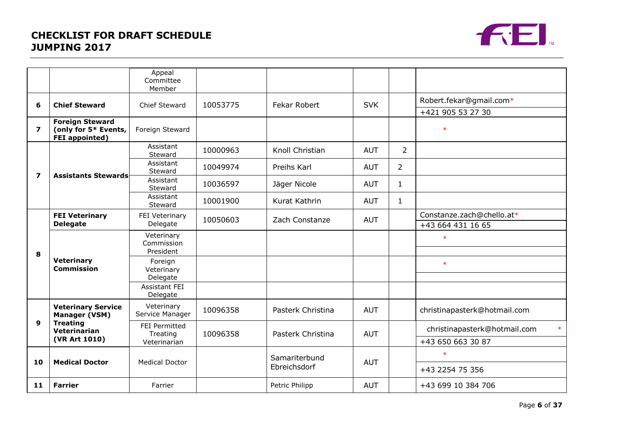# **CHECKLIST FOR DRAFT SCHEDULE JUMPING 2017**



|                         |                                                                         | Appeal<br>Committee<br>Member    |          |                     |                   |                |                                        |
|-------------------------|-------------------------------------------------------------------------|----------------------------------|----------|---------------------|-------------------|----------------|----------------------------------------|
| 6                       | <b>Chief Steward</b>                                                    | Chief Steward                    | 10053775 | <b>Fekar Robert</b> | <b>SVK</b>        |                | Robert.fekar@gmail.com*                |
|                         |                                                                         |                                  |          |                     |                   |                | +421 905 53 27 30                      |
| $\overline{\mathbf{z}}$ | <b>Foreign Steward</b><br>(only for 5* Events,<br><b>FEI</b> appointed) | Foreign Steward                  |          |                     |                   |                | $\ast$                                 |
|                         |                                                                         | Assistant<br>Steward             | 10000963 | Knoll Christian     | <b>AUT</b>        | $\overline{2}$ |                                        |
| $\overline{\mathbf{z}}$ | <b>Assistants Stewards</b>                                              | Assistant<br>Steward             | 10049974 | Preihs Karl         | <b>AUT</b>        | $\overline{2}$ |                                        |
|                         |                                                                         | Assistant<br>Steward             | 10036597 | Jäger Nicole        | <b>AUT</b>        | $\mathbf{1}$   |                                        |
|                         |                                                                         | Assistant<br>Steward             | 10001900 | Kurat Kathrin       | <b>AUT</b>        | 1              |                                        |
|                         | <b>FEI Veterinary</b>                                                   | FEI Veterinary                   | 10050603 | Zach Constanze      | <b>AUT</b>        |                | Constanze.zach@chello.at*              |
|                         | <b>Delegate</b>                                                         | Delegate                         |          |                     | +43 664 431 16 65 |                |                                        |
| 8                       | <b>Veterinary</b><br><b>Commission</b>                                  | Veterinary<br>Commission         |          |                     |                   |                | $\ast$                                 |
|                         |                                                                         | President<br>Foreign             |          |                     |                   |                |                                        |
|                         |                                                                         | Veterinary                       |          |                     |                   |                | $\ast$                                 |
|                         |                                                                         | Delegate                         |          |                     |                   |                |                                        |
|                         |                                                                         | <b>Assistant FEI</b><br>Delegate |          |                     |                   |                |                                        |
|                         | <b>Veterinary Service</b><br>Manager (VSM)                              | Veterinary<br>Service Manager    | 10096358 | Pasterk Christina   | <b>AUT</b>        |                | christinapasterk@hotmail.com           |
| 9                       | <b>Treating</b><br>Veterinarian                                         | <b>FEI Permitted</b><br>Treating | 10096358 | Pasterk Christina   | <b>AUT</b>        |                | $\ast$<br>christinapasterk@hotmail.com |
|                         | (VR Art 1010)                                                           | Veterinarian                     |          |                     |                   |                | +43 650 663 30 87                      |
|                         |                                                                         |                                  |          | Samariterbund       |                   |                | $\ast$                                 |
| 10                      | <b>Medical Doctor</b>                                                   | <b>Medical Doctor</b>            |          | Ebreichsdorf        | <b>AUT</b>        |                | +43 2254 75 356                        |
| 11                      | <b>Farrier</b>                                                          | Farrier                          |          | Petric Philipp      | <b>AUT</b>        |                | +43 699 10 384 706                     |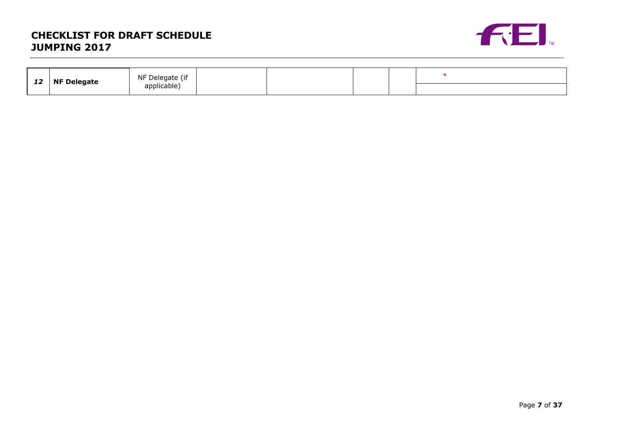# **CHECKLIST FOR DRAFT SCHEDULE JUMPING 2017**



| $\sim$<br>∸∸ | <b>NF Delegate</b> | NF Delegate (if |  |  |  |
|--------------|--------------------|-----------------|--|--|--|
|              |                    | applicable)     |  |  |  |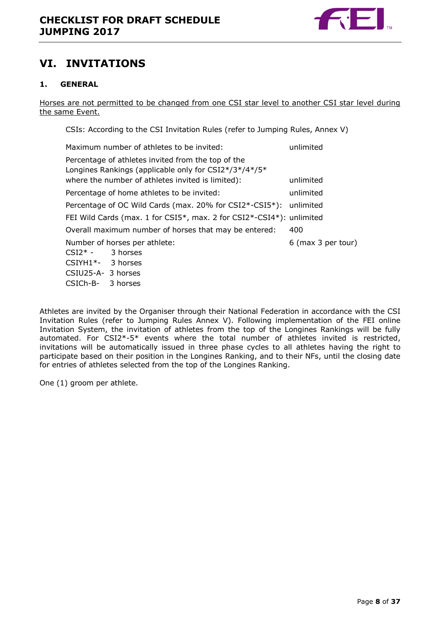

# <span id="page-7-0"></span>**VI. INVITATIONS**

# <span id="page-7-1"></span>**1. GENERAL**

Horses are not permitted to be changed from one CSI star level to another CSI star level during the same Event.

CSIs: According to the CSI Invitation Rules (refer to Jumping Rules, Annex V)

| Maximum number of athletes to be invited:                                                                                                                        | unlimited          |
|------------------------------------------------------------------------------------------------------------------------------------------------------------------|--------------------|
| Percentage of athletes invited from the top of the<br>Longines Rankings (applicable only for CSI2*/3*/4*/5*<br>where the number of athletes invited is limited): | unlimited          |
| Percentage of home athletes to be invited:                                                                                                                       | unlimited          |
| Percentage of OC Wild Cards (max. 20% for CSI2*-CSI5*): unlimited                                                                                                |                    |
| FEI Wild Cards (max. 1 for CSI5*, max. 2 for CSI2*-CSI4*): unlimited                                                                                             |                    |
| Overall maximum number of horses that may be entered:                                                                                                            | 400                |
| Number of horses per athlete:<br>$CSI2* - 3$ horses<br>CSIYH1*- 3 horses<br>CSIU25-A- 3 horses                                                                   | 6 (max 3 per tour) |
| CSICh-B-<br>3 horses                                                                                                                                             |                    |

Athletes are invited by the Organiser through their National Federation in accordance with the CSI Invitation Rules (refer to Jumping Rules Annex V). Following implementation of the FEI online Invitation System, the invitation of athletes from the top of the Longines Rankings will be fully automated. For CSI2\*-5\* events where the total number of athletes invited is restricted, invitations will be automatically issued in three phase cycles to all athletes having the right to participate based on their position in the Longines Ranking, and to their NFs, until the closing date for entries of athletes selected from the top of the Longines Ranking.

One (1) groom per athlete.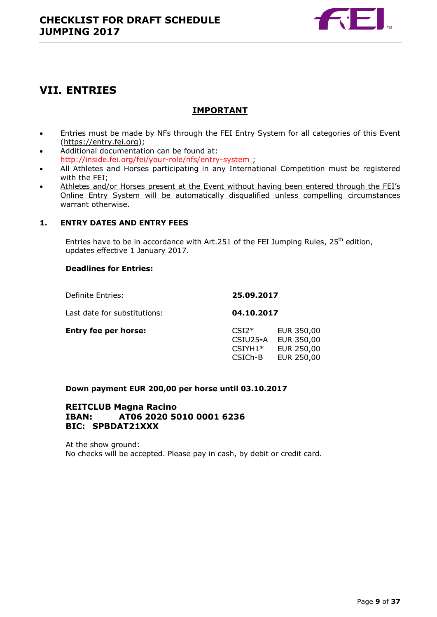

# <span id="page-8-0"></span>**VII. ENTRIES**

# **IMPORTANT**

- Entries must be made by NFs through the FEI Entry System for all categories of this Event [\(https://entry.fei.org\)](https://entry.fei.org/);
- Additional documentation can be found at: <http://inside.fei.org/fei/your-role/nfs/entry-system> ;
- All Athletes and Horses participating in any International Competition must be registered with the FEI;
- Athletes and/or Horses present at the Event without having been entered through the FEI's Online Entry System will be automatically disqualified unless compelling circumstances warrant otherwise.

# <span id="page-8-1"></span>**1. ENTRY DATES AND ENTRY FEES**

Entries have to be in accordance with Art.251 of the FEI Jumping Rules,  $25<sup>th</sup>$  edition, updates effective 1 January 2017.

### **Deadlines for Entries:**

| Definite Entries:            | 25.09.2017                                  |                                                      |
|------------------------------|---------------------------------------------|------------------------------------------------------|
| Last date for substitutions: | 04.10.2017                                  |                                                      |
| <b>Entry fee per horse:</b>  | $CSI2*$<br>CSIU25-A<br>$CSIYH1*$<br>CSICh-B | EUR 350,00<br>EUR 350,00<br>EUR 250,00<br>EUR 250,00 |

# **Down payment EUR 200,00 per horse until 03.10.2017**

# **REITCLUB Magna Racino IBAN: AT06 2020 5010 0001 6236 BIC: SPBDAT21XXX**

At the show ground: No checks will be accepted. Please pay in cash, by debit or credit card.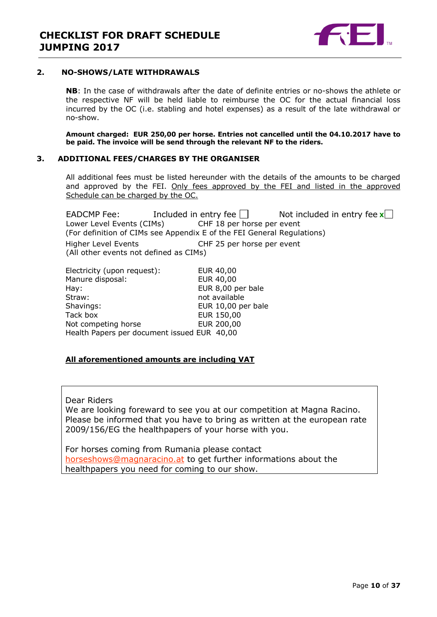

#### <span id="page-9-0"></span>**2. NO-SHOWS/LATE WITHDRAWALS**

**NB**: In the case of withdrawals after the date of definite entries or no-shows the athlete or the respective NF will be held liable to reimburse the OC for the actual financial loss incurred by the OC (i.e. stabling and hotel expenses) as a result of the late withdrawal or no-show.

**Amount charged: EUR 250,00 per horse. Entries not cancelled until the 04.10.2017 have to be paid. The invoice will be send through the relevant NF to the riders.**

#### <span id="page-9-1"></span>**3. ADDITIONAL FEES/CHARGES BY THE ORGANISER**

All additional fees must be listed hereunder with the details of the amounts to be charged and approved by the FEI. Only fees approved by the FEI and listed in the approved Schedule can be charged by the OC.

EADCMP Fee: Included in entry fee  $\Box$  Not included in entry fee  $\mathbf{x}$ Lower Level Events (CIMs) CHF 18 per horse per event (For definition of CIMs see Appendix E of the FEI General Regulations) Higher Level Events CHF 25 per horse per event (All other events not defined as CIMs)

| Electricity (upon request):                 | EUR 40,00          |
|---------------------------------------------|--------------------|
| Manure disposal:                            | EUR 40,00          |
| Hay:                                        | EUR 8,00 per bale  |
| Straw:                                      | not available      |
| Shavings:                                   | EUR 10,00 per bale |
| Tack box                                    | EUR 150,00         |
| Not competing horse                         | EUR 200,00         |
| Health Papers per document issued EUR 40,00 |                    |

### **All aforementioned amounts are including VAT**

Dear Riders

We are looking foreward to see you at our competition at Magna Racino. Please be informed that you have to bring as written at the european rate 2009/156/EG the healthpapers of your horse with you.

For horses coming from Rumania please contact [horseshows@magnaracino.at](mailto:horseshows@magnaracino.at) to get further informations about the healthpapers you need for coming to our show.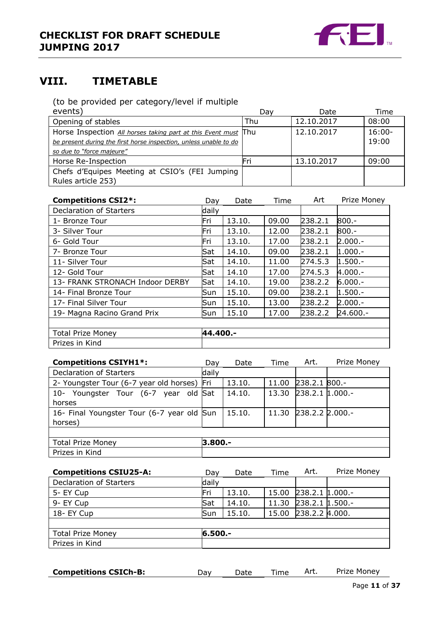

# <span id="page-10-0"></span>**VIII. TIMETABLE**

(to be provided per category/level if multiple

| events)                                                           | Dav | Date       | Time      |
|-------------------------------------------------------------------|-----|------------|-----------|
| Opening of stables                                                | Thu | 12.10.2017 | 08:00     |
| Horse Inspection All horses taking part at this Event must Thu    |     | 12.10.2017 | $16:00 -$ |
| be present during the first horse inspection, unless unable to do |     |            | 19:00     |
| so due to "force majeure"                                         |     |            |           |
| Horse Re-Inspection                                               | Fri | 13.10.2017 | 09:00     |
| Chefs d'Equipes Meeting at CSIO's (FEI Jumping                    |     |            |           |
| Rules article 253)                                                |     |            |           |

| <b>Competitions CSI2*:</b>      | Day        | Date   | Time  | Art     | Prize Money |
|---------------------------------|------------|--------|-------|---------|-------------|
| Declaration of Starters         | daily      |        |       |         |             |
| 1- Bronze Tour                  | Fri        | 13.10. | 09.00 | 238.2.1 | $800 -$     |
| 3- Silver Tour                  | Fri        | 13.10. | 12.00 | 238.2.1 | $800 -$     |
| 6- Gold Tour                    | Fri        | 13.10. | 17.00 | 238.2.1 | $2.000.-$   |
| 7- Bronze Tour                  | Sat        | 14.10. | 09.00 | 238.2.1 | $1.000.-$   |
| 11- Silver Tour                 | Sat        | 14.10. | 11.00 | 274.5.3 | $1.500 -$   |
| 12- Gold Tour                   | Sat        | 14.10  | 17.00 | 274.5.3 | $4.000 -$   |
| 13- FRANK STRONACH Indoor DERBY | Sat        | 14.10. | 19.00 | 238.2.2 | $6.000 -$   |
| 14- Final Bronze Tour           | <b>Sun</b> | 15.10. | 09.00 | 238.2.1 | $1.500 -$   |
| 17- Final Silver Tour           | lSun.      | 15.10. | 13.00 | 238.2.2 | $2.000 -$   |
| 19- Magna Racino Grand Prix     | lSun.      | 15.10  | 17.00 | 238.2.2 | 24.600 .-   |
|                                 |            |        |       |         |             |
| <b>Total Prize Money</b>        | 44.400 .-  |        |       |         |             |
| Prizes in Kind                  |            |        |       |         |             |

| <b>Competitions CSIYH1*:</b>                | Dav     | Date   | Time  | Art.              | Prize Money |
|---------------------------------------------|---------|--------|-------|-------------------|-------------|
| Declaration of Starters                     | daily   |        |       |                   |             |
| 2- Youngster Tour (6-7 year old horses) Fri |         | 13.10. | 11.00 | 238.2.1           | $800.-$     |
| 10- Youngster Tour (6-7 year old Sat        |         | 14.10. | 13.30 | 238.2.1 1.000 .-  |             |
| horses                                      |         |        |       |                   |             |
| 16- Final Youngster Tour (6-7 year old Sun  |         | 15.10. | 11.30 | $238.2.2$ 2.000.- |             |
| horses)                                     |         |        |       |                   |             |
|                                             |         |        |       |                   |             |
| <b>Total Prize Money</b>                    | 3.800.- |        |       |                   |             |
| Prizes in Kind                              |         |        |       |                   |             |
|                                             |         |        |       |                   |             |
| <b>Competitions CSIU25-A:</b>               | Day     | Date   | Time  | Art.              | Prize Money |

| vav        | vale   | ,,,,,,,  | AL 5. | <b>THE LIGHT</b>                                                        |
|------------|--------|----------|-------|-------------------------------------------------------------------------|
| daily      |        |          |       |                                                                         |
| Fri        | 13.10. |          |       |                                                                         |
| <b>Sat</b> | 14.10. |          |       |                                                                         |
| <b>Sun</b> | 15.10. |          |       |                                                                         |
|            |        |          |       |                                                                         |
|            |        |          |       |                                                                         |
|            |        |          |       |                                                                         |
|            |        | 6.500 .- |       | 15.00 238.2.1 1.000 .-<br>11.30 238.2.1 1.500.-<br>15.00 238.2.2 4.000. |

**Competitions CSICh-B:** Day Date Time Art. Prize Money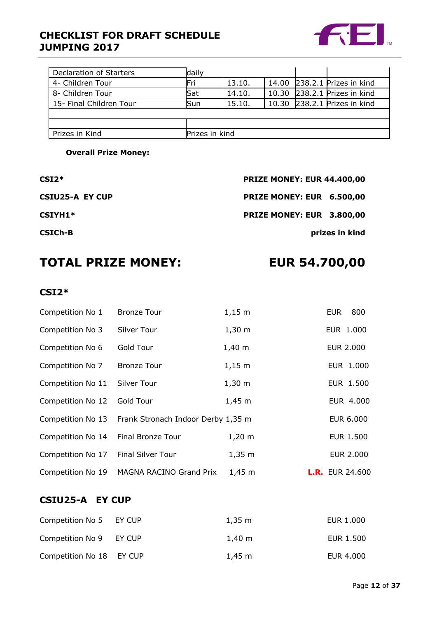# **CHECKLIST FOR DRAFT SCHEDULE JUMPING 2017**



| Declaration of Starters | daily          |        |       |                              |
|-------------------------|----------------|--------|-------|------------------------------|
| 4- Children Tour        | Fri            | 13.10. |       | 14.00 238.2.1 Prizes in kind |
| 8- Children Tour        | Sat            | 14.10. | 10.30 | 238.2.1 Prizes in kind       |
| 15- Final Children Tour | Sun            | 15.10. |       | 10.30 238.2.1 Prizes in kind |
|                         |                |        |       |                              |
|                         |                |        |       |                              |
| Prizes in Kind          | Prizes in kind |        |       |                              |

**Overall Prize Money:** 

**CSI2\* PRIZE MONEY: EUR 44.400,00**

**CSIU25-A EY CUP PRIZE MONEY: EUR 6.500,00**

**CSIYH1\* PRIZE MONEY: EUR 3.800,00**

**CSICh-B prizes in kind**

# **TOTAL PRIZE MONEY: EUR 54.700,00**

# **CSI2\***

| Competition No 1  | <b>Bronze Tour</b>                                   | $1,15 \; m$ | 800<br><b>EUR</b>      |
|-------------------|------------------------------------------------------|-------------|------------------------|
| Competition No 3  | Silver Tour                                          | $1,30 \; m$ | EUR 1.000              |
| Competition No 6  | Gold Tour                                            | $1,40 \; m$ | <b>EUR 2.000</b>       |
| Competition No 7  | <b>Bronze Tour</b>                                   | $1,15 \; m$ | EUR 1.000              |
| Competition No 11 | Silver Tour                                          | $1,30 \; m$ | EUR 1.500              |
| Competition No 12 | Gold Tour                                            | $1,45 \; m$ | EUR 4.000              |
|                   | Competition No 13 Frank Stronach Indoor Derby 1,35 m |             | EUR 6.000              |
| Competition No 14 | Final Bronze Tour                                    | $1,20 \; m$ | <b>EUR 1.500</b>       |
| Competition No 17 | <b>Final Silver Tour</b>                             | $1,35 \; m$ | <b>EUR 2.000</b>       |
| Competition No 19 | MAGNA RACINO Grand Prix                              | $1,45 \; m$ | <b>L.R.</b> EUR 24.600 |

# **CSIU25-A EY CUP**

| Competition No 5 EY CUP  | $1.35 \; \mathrm{m}$ | EUR 1.000 |
|--------------------------|----------------------|-----------|
| Competition No 9 EY CUP  | $1.40 \;{\rm m}$     | EUR 1.500 |
| Competition No 18 EY CUP | $1.45 \;{\rm m}$     | EUR 4.000 |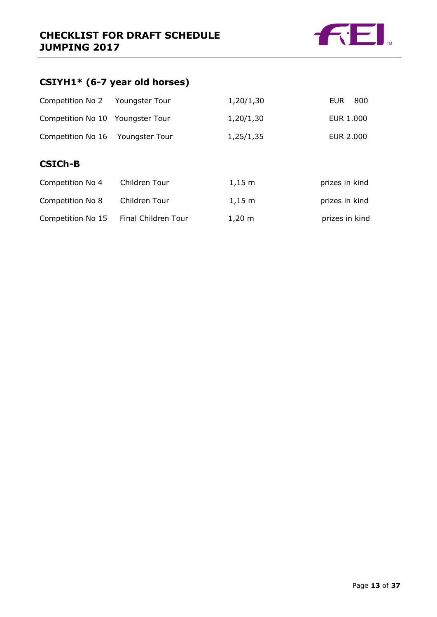

# **CSIYH1\* (6-7 year old horses)**

| Competition No 2                 | Youngster Tour | 1,20/1,30   | 800<br>EUR.    |
|----------------------------------|----------------|-------------|----------------|
| Competition No 10 Youngster Tour |                | 1,20/1,30   | EUR 1.000      |
| Competition No 16 Youngster Tour |                | 1,25/1,35   | EUR 2.000      |
| <b>CSICh-B</b>                   |                |             |                |
| Competition No 4                 | Children Tour  | $1,15 \; m$ | prizes in kind |

| <b>CUTTD CULTUIT TIO T</b> | <b>UITULET TUUL</b> | 1,1J III             | <b>PHASE IN URITY</b> |
|----------------------------|---------------------|----------------------|-----------------------|
| Competition No 8           | Children Tour       | $1.15 \; m$          | prizes in kind        |
| Competition No 15          | Final Children Tour | $1,20 \; \mathrm{m}$ | prizes in kind        |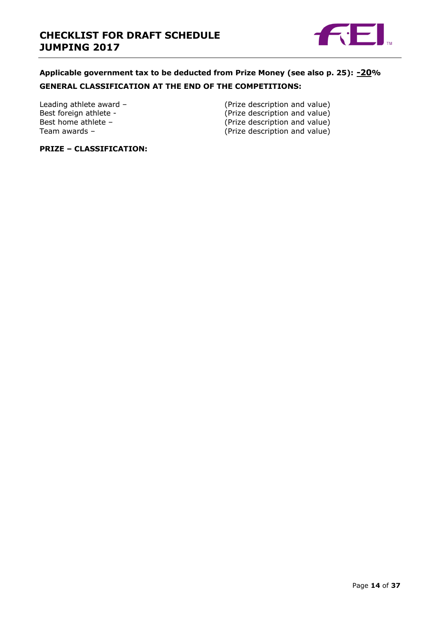

# **Applicable government tax to be deducted from Prize Money (see also p. 25): -20% GENERAL CLASSIFICATION AT THE END OF THE COMPETITIONS:**

Leading athlete award – (Prize description and value)<br>Best foreign athlete - (Prize description and value) Best foreign athlete - (Prize description and value)<br>Best home athlete - (Prize description and value) Best home athlete – (Prize description and value)<br>
Team awards – (Prize description and value)  $(P$ rize description and value)

# **PRIZE – CLASSIFICATION:**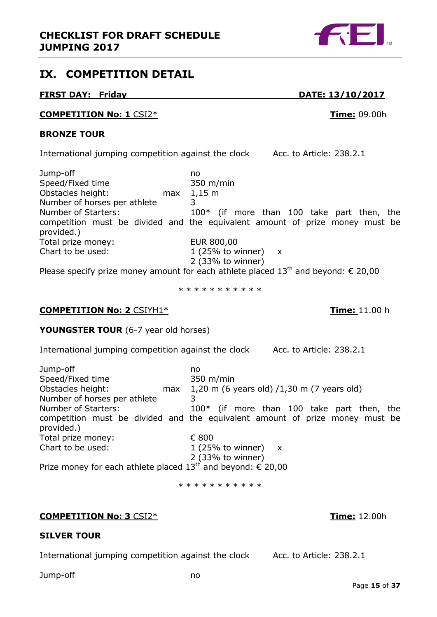<span id="page-14-0"></span>

# **FIRST DAY: Friday DATE: 13/10/2017**

# **COMPETITION No: 1** CSI2\* **Time:** 09.00h

# **BRONZE TOUR**

International jumping competition against the clock Acc. to Article: 238.2.1

Jump-off no Speed/Fixed time 350 m/min Obstacles height: max 1,15 m Number of horses per athlete 3 Number of Starters: 100\* (if more than 100 take part then, the competition must be divided and the equivalent amount of prize money must be provided.) Total prize money: EUR 800,00 Chart to be used:  $1 (25\% \text{ to winner}) x$ 2 (33% to winner)

Please specify prize money amount for each athlete placed  $13<sup>th</sup>$  and beyond:  $\epsilon$  20,00

\* \* \* \* \* \* \* \* \* \*

# **COMPETITION No: 2** CSIYH1\* **Time:** 11.00 h

# **YOUNGSTER TOUR** (6-7 year old horses)

International jumping competition against the clock Acc. to Article: 238.2.1

| Jump-off                                                       | no                                                                           |
|----------------------------------------------------------------|------------------------------------------------------------------------------|
| Speed/Fixed time                                               | 350 m/min                                                                    |
| Obstacles height:<br>max                                       | 1,20 m (6 years old) $/1,30$ m (7 years old)                                 |
| Number of horses per athlete                                   |                                                                              |
| Number of Starters:                                            | $100*$ (if more than 100 take part then, the                                 |
| provided.)                                                     | competition must be divided and the equivalent amount of prize money must be |
| Total prize money:                                             | € 800                                                                        |
| Chart to be used:                                              | $1(25%$ to winner)<br>$\mathsf{X}$                                           |
|                                                                | 2 (33% to winner)                                                            |
| Prize money for each athlete placed $13th$ and beyond: € 20,00 |                                                                              |

\* \* \* \* \* \* \* \* \* \*

# **COMPETITION No: 3** CSI2\* **Time:** 12.00h

# **SILVER TOUR**

International jumping competition against the clock Acc. to Article: 238.2.1

Jump-off no



Page **15** of **37**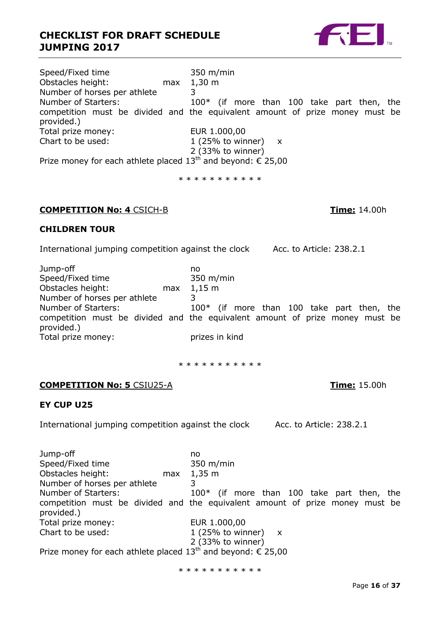# **CHECKLIST FOR DRAFT SCHEDULE JUMPING 2017**

| Speed/Fixed time                                               | $350 \; \mathrm{m/min}$                                                      |
|----------------------------------------------------------------|------------------------------------------------------------------------------|
| Obstacles height:<br>max                                       | $1,30 \; \text{m}$                                                           |
| Number of horses per athlete                                   |                                                                              |
| Number of Starters:                                            | $100*$ (if more than 100 take part then, the                                 |
|                                                                | competition must be divided and the equivalent amount of prize money must be |
| provided.)                                                     |                                                                              |
| Total prize money:                                             | EUR 1.000,00                                                                 |
| Chart to be used:                                              | 1 (25% to winner) $x$                                                        |
|                                                                | $2$ (33% to winner)                                                          |
| Prize money for each athlete placed $13th$ and beyond: € 25,00 |                                                                              |
|                                                                |                                                                              |

\* \* \* \* \* \* \* \* \* \* \*

# **COMPETITION No: 4** CSICH-B **Time:** 14.00h

# **CHILDREN TOUR**

International jumping competition against the clock Acc. to Article: 238.2.1

| Jump-off                     | no                                                                           |
|------------------------------|------------------------------------------------------------------------------|
| Speed/Fixed time             | $350 \; \text{m/min}$                                                        |
| Obstacles height:<br>max     | $1,15 \text{ m}$                                                             |
| Number of horses per athlete |                                                                              |
| Number of Starters:          | $100*$ (if more than 100 take part then, the                                 |
| provided.)                   | competition must be divided and the equivalent amount of prize money must be |
| Total prize money:           | prizes in kind                                                               |

\* \* \* \* \* \* \* \* \* \*

# **COMPETITION No: 5** CSIU25-A **Time:** 15.00h

# **EY CUP U25**

International jumping competition against the clock Acc. to Article: 238.2.1

Jump-off no Speed/Fixed time 350 m/min Obstacles height: max 1,35 m Number of horses per athlete 3 Number of Starters: 100\* (if more than 100 take part then, the competition must be divided and the equivalent amount of prize money must be provided.) Total prize money: EUR 1.000,00 Chart to be used:  $1 (25\% \text{ to winner}) x$ 2 (33% to winner) Prize money for each athlete placed  $13<sup>th</sup>$  and beyond:  $\epsilon$  25,00

\* \* \* \* \* \* \* \* \* \*

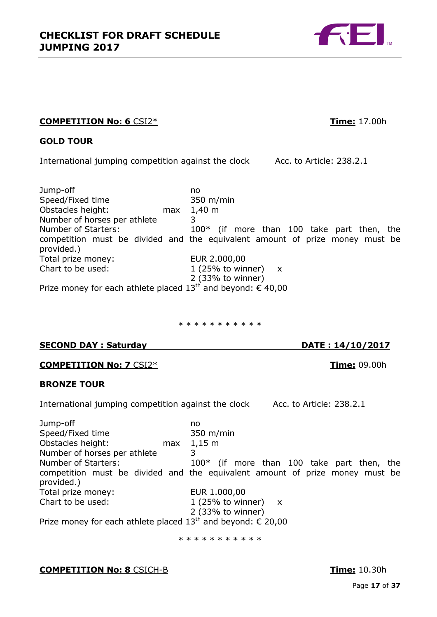# **COMPETITION No: 6** CSI2\* **Time:** 17.00h

# **GOLD TOUR**

International jumping competition against the clock Acc. to Article: 238.2.1

Jump-off no Speed/Fixed time 350 m/min Obstacles height: max 1,40 m Number of horses per athlete 3 Number of Starters: 100\* (if more than 100 take part then, the competition must be divided and the equivalent amount of prize money must be provided.) Total prize money: EUR 2.000,00 Chart to be used:  $1 (25\% \text{ to winner}) x$ 2 (33% to winner) Prize money for each athlete placed  $13^{\text{th}}$  and beyond:  $\epsilon$  40,00

\* \* \* \* \* \* \* \* \* \*

# **SECOND DAY : Saturday DATE : 14/10/2017**

**COMPETITION No: 7** CSI2\* **Time:** 09.00h

# **BRONZE TOUR**

International jumping competition against the clock Acc. to Article: 238.2.1

Jump-off no Speed/Fixed time 350 m/min Obstacles height: max 1,15 m Number of horses per athlete 3 Number of Starters: 100<sup>\*</sup> (if more than 100 take part then, the competition must be divided and the equivalent amount of prize money must be provided.) Total prize money: EUR 1.000,00 Chart to be used:  $1 (25\% \text{ to winner}) x$ 2 (33% to winner) Prize money for each athlete placed  $13^{th}$  and beyond:  $\epsilon$  20,00

\* \* \* \* \* \* \* \* \* \* \*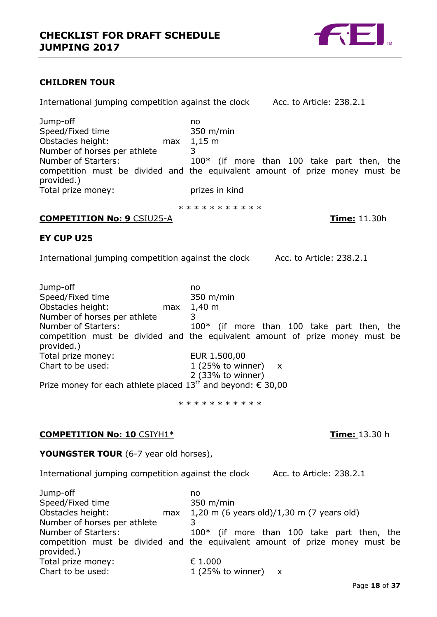# **CHILDREN TOUR**

International jumping competition against the clock Acc. to Article: 238.2.1 Jump-off no Speed/Fixed time 350 m/min Obstacles height: max 1,15 m Number of horses per athlete 3 Number of Starters: 100<sup>\*</sup> (if more than 100 take part then, the competition must be divided and the equivalent amount of prize money must be provided.) Total prize money: prizes in kind \* \* \* \* \* \* \* \* \* \* **COMPETITION No: 9** CSIU25-A **Time:** 11.30h **EY CUP U25** International jumping competition against the clock Acc. to Article: 238.2.1 Jump-off no 1 (25% to winner)  $x$ 2 (33% to winner) Prize money for each athlete placed  $13^{th}$  and beyond:  $\epsilon$  30,00 \* \* \* \* \* \* \* \* \* \* **COMPETITION No: 10** CSIYH1\* **Time:** 13.30 h **YOUNGSTER TOUR** (6-7 year old horses), International jumping competition against the clock Acc. to Article: 238.2.1 Jump-off no Speed/Fixed time 350 m/min<br>
0bstacles height: max 1,20 m (6 \) max  $1,20$  m (6 years old)/1,30 m (7 years old)

Number of horses per athlete 3 Number of Starters: 100<sup>\*</sup> (if more than 100 take part then, the competition must be divided and the equivalent amount of prize money must be provided.) Total prize money: € 1.000

Speed/Fixed time 350 m/min Obstacles height: max 1,40 m Number of horses per athlete 3 Number of Starters: 100<sup>\*</sup> (if more than 100 take part then, the competition must be divided and the equivalent amount of prize money must be provided.) Total prize money:<br>
Chart to be used:<br>
1 (25% to wir

Chart to be used:  $1 (25\% \text{ to winner}) x$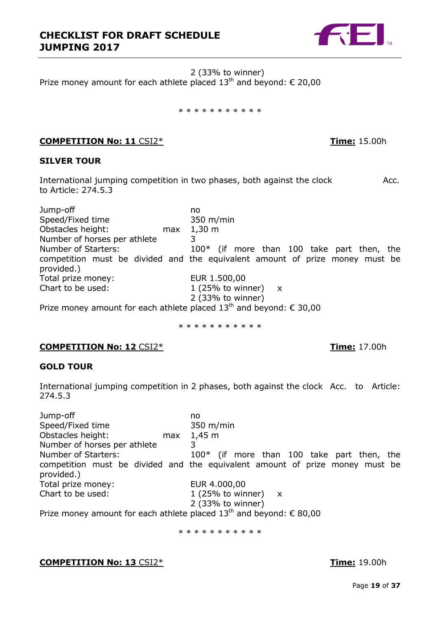

2 (33% to winner) Prize money amount for each athlete placed  $13^{th}$  and beyond:  $\epsilon$  20,00

#### \* \* \* \* \* \* \* \* \* \* \*

# **COMPETITION No: 11** CSI2\* **Time:** 15.00h

# **SILVER TOUR**

International jumping competition in two phases, both against the clock Acc. to Article: 274.5.3

Jump-off no Speed/Fixed time 350 m/min Obstacles height: max 1,30 m Number of horses per athlete 3 Number of Starters: 100<sup>\*</sup> (if more than 100 take part then, the competition must be divided and the equivalent amount of prize money must be provided.) Total prize money: EUR 1.500,00 Chart to be used:  $1 (25\% \text{ to winner}) x$ 2 (33% to winner) Prize money amount for each athlete placed  $13^{th}$  and beyond:  $\epsilon$  30,00

\* \* \* \* \* \* \* \* \* \*

# **COMPETITION No: 12** CSI2\* **Time:** 17.00h

# **GOLD TOUR**

International jumping competition in 2 phases, both against the clock Acc. to Article: 274.5.3

Jump-off no Speed/Fixed time 350 m/min Obstacles height: max 1,45 m Number of horses per athlete 3 Number of Starters: 100<sup>\*</sup> (if more than 100 take part then, the competition must be divided and the equivalent amount of prize money must be provided.) Total prize money: EUR 4.000,00 Chart to be used:  $1 (25\% \text{ to winner}) x$ 2 (33% to winner) Prize money amount for each athlete placed  $13^{th}$  and beyond:  $\epsilon$  80,00

\* \* \* \* \* \* \* \* \* \* \*

# **COMPETITION No: 13** CSI2\* **Time:** 19.00h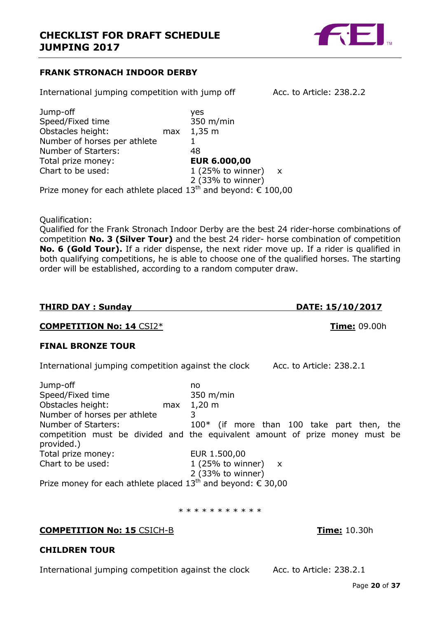

# **FRANK STRONACH INDOOR DERBY**

International jumping competition with jump off Acc. to Article: 238.2.2

Jump-off yes Speed/Fixed time 350 m/min Obstacles height: max 1,35 m Number of horses per athlete 1 Number of Starters: 48 Total prize money: **EUR 6.000,00** Chart to be used:  $1 (25\% \text{ to winner}) x$ 2 (33% to winner) Prize money for each athlete placed  $13<sup>th</sup>$  and beyond:  $\epsilon$  100,00

Qualification:

Qualified for the Frank Stronach Indoor Derby are the best 24 rider-horse combinations of competition **No. 3 (Silver Tour)** and the best 24 rider- horse combination of competition **No. 6 (Gold Tour).** If a rider dispense, the next rider move up. If a rider is qualified in both qualifying competitions, he is able to choose one of the qualified horses. The starting order will be established, according to a random computer draw.

# **THIRD DAY : Sunday DATE: 15/10/2017**

# **COMPETITION No: 14** CSI2\* **Time:** 09.00h

# **FINAL BRONZE TOUR**

International jumping competition against the clock Acc. to Article: 238.2.1

| Jump-off                                                       | no                                                                           |
|----------------------------------------------------------------|------------------------------------------------------------------------------|
| Speed/Fixed time                                               | 350 m/min                                                                    |
| Obstacles height:<br>max                                       | $1,20 \; \text{m}$                                                           |
| Number of horses per athlete                                   |                                                                              |
| Number of Starters:                                            | $100*$ (if more than 100 take part then, the                                 |
| provided.)                                                     | competition must be divided and the equivalent amount of prize money must be |
| Total prize money:                                             | EUR 1.500,00                                                                 |
| Chart to be used:                                              | 1 (25% to winner) $x$                                                        |
|                                                                | 2 (33% to winner)                                                            |
| Prize money for each athlete placed $13th$ and beyond: € 30,00 |                                                                              |

\* \* \* \* \* \* \* \* \* \*

# **COMPETITION No: 15** CSICH-B **Time:** 10.30h

# **CHILDREN TOUR**

International jumping competition against the clock Acc. to Article: 238.2.1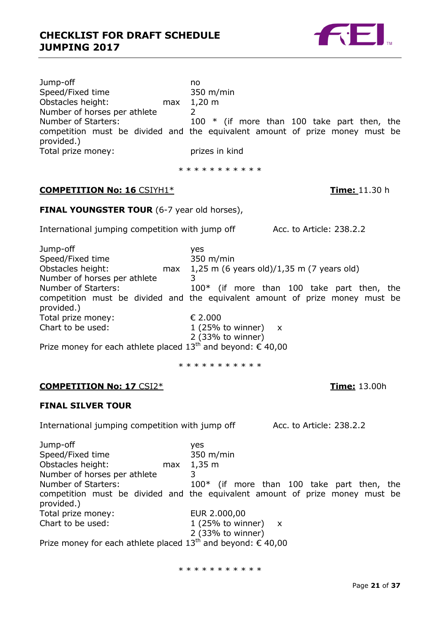

Jump-off no Speed/Fixed time 350 m/min Obstacles height: max 1,20 m Number of horses per athlete 2 Number of Starters: 100 \* (if more than 100 take part then, the competition must be divided and the equivalent amount of prize money must be provided.) Total prize money: Total prizes in kind

\* \* \* \* \* \* \* \* \* \*

# **COMPETITION No: 16** CSIYH1\* **Time:** 11.30 h

**FINAL YOUNGSTER TOUR** (6-7 year old horses),

International jumping competition with jump off Acc. to Article: 238.2.2

Jump-off yes Speed/Fixed time 350 m/min<br>Obstacles height: max 1,25 m (6 \;<br>Number of bossess max  $1,25$  m (6 years old)/1,35 m (7 years old) Number of horses per athlete 3 Number of Starters: 100<sup>\*</sup> (if more than 100 take part then, the competition must be divided and the equivalent amount of prize money must be provided.) Total prize money: **€ 2.000** Chart to be used:  $1 (25\% \text{ to winner}) x$ 2 (33% to winner) Prize money for each athlete placed  $13^{th}$  and beyond:  $\epsilon$  40,00

\* \* \* \* \* \* \* \* \* \*

# **COMPETITION No: 17** CSI2\* **Time:** 13.00h

# **FINAL SILVER TOUR**

International jumping competition with jump off Acc. to Article: 238.2.2

Jump-off yes Speed/Fixed time 350 m/min Obstacles height: max 1,35 m Number of horses per athlete 3 Number of Starters: 100<sup>\*</sup> (if more than 100 take part then, the competition must be divided and the equivalent amount of prize money must be provided.) Total prize money: EUR 2.000,00 Chart to be used:  $1 (25\% \text{ to winner}) x$ 2 (33% to winner) Prize money for each athlete placed  $13^{th}$  and beyond:  $\epsilon$  40,00

\* \* \* \* \* \* \* \* \* \*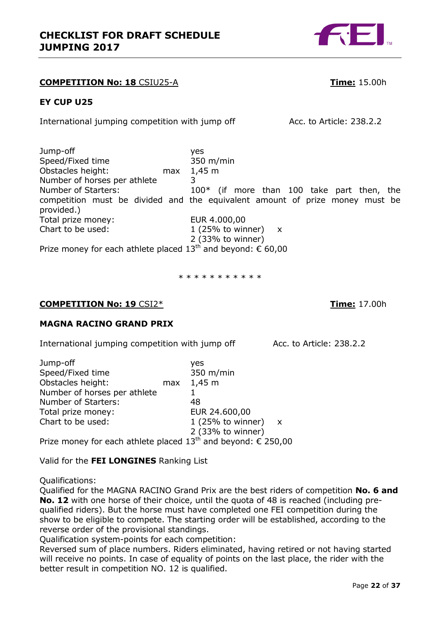# **COMPETITION No: 18** CSIU25-A **Time:** 15.00h

# **EY CUP U25**

International jumping competition with jump off Acc. to Article: 238.2.2

Jump-off yes Speed/Fixed time 350 m/min Obstacles height: max 1,45 m Number of horses per athlete 3 Number of Starters: 100<sup>\*</sup> (if more than 100 take part then, the competition must be divided and the equivalent amount of prize money must be provided.) Total prize money: EUR 4.000,00 Chart to be used:  $1 (25\% \text{ to winner}) x$ 2 (33% to winner)

Prize money for each athlete placed  $13^{th}$  and beyond:  $\epsilon$  60,00

\* \* \* \* \* \* \* \* \* \*

# **COMPETITION No: 19** CSI2\* **Time:** 17.00h

# **MAGNA RACINO GRAND PRIX**

International jumping competition with jump off Acc. to Article: 238.2.2

| Jump-off                     |     | yes                   |  |
|------------------------------|-----|-----------------------|--|
| Speed/Fixed time             |     | 350 m/min             |  |
| Obstacles height:            | max | 1,45 m                |  |
| Number of horses per athlete |     |                       |  |
| Number of Starters:          |     | 48                    |  |
| Total prize money:           |     | EUR 24.600,00         |  |
| Chart to be used:            |     | 1 (25% to winner) $x$ |  |
|                              |     | 2 (33% to winner)     |  |

Prize money for each athlete placed  $13^{th}$  and beyond:  $\epsilon$  250,00

Valid for the **FEI LONGINES** Ranking List

Qualifications:

Qualified for the MAGNA RACINO Grand Prix are the best riders of competition **No. 6 and No. 12** with one horse of their choice, until the quota of 48 is reached (including prequalified riders). But the horse must have completed one FEI competition during the show to be eligible to compete. The starting order will be established, according to the reverse order of the provisional standings.

Qualification system-points for each competition:

Reversed sum of place numbers. Riders eliminated, having retired or not having started will receive no points. In case of equality of points on the last place, the rider with the better result in competition NO. 12 is qualified.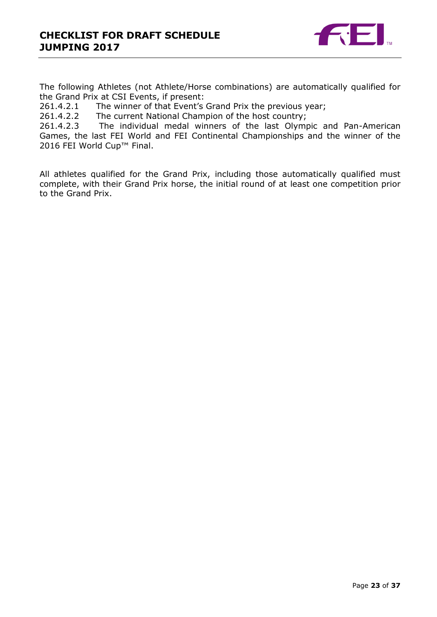

The following Athletes (not Athlete/Horse combinations) are automatically qualified for the Grand Prix at CSI Events, if present:

261.4.2.1 The winner of that Event's Grand Prix the previous year;

261.4.2.2 The current National Champion of the host country;

261.4.2.3 The individual medal winners of the last Olympic and Pan-American Games, the last FEI World and FEI Continental Championships and the winner of the 2016 FEI World Cup™ Final.

All athletes qualified for the Grand Prix, including those automatically qualified must complete, with their Grand Prix horse, the initial round of at least one competition prior to the Grand Prix.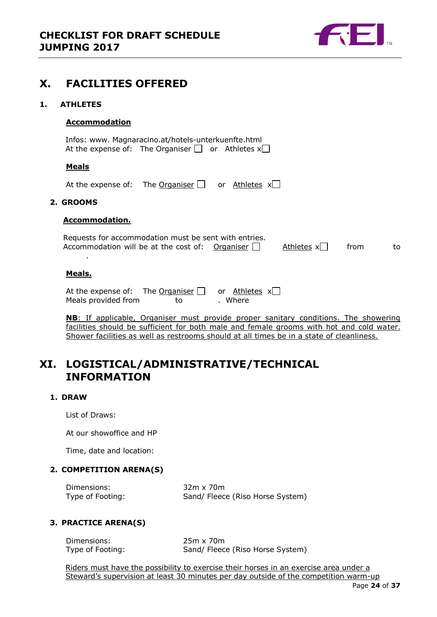

# <span id="page-23-0"></span>**X. FACILITIES OFFERED**

### <span id="page-23-1"></span>**1. ATHLETES**

### **Accommodation**

| Infos: www. Magnaracino.at/hotels-unterkuenfte.html          |  |
|--------------------------------------------------------------|--|
| At the expense of: The Organiser $\Box$ or Athletes $x \Box$ |  |
|                                                              |  |

# **Meals**

At the expense of: The Organiser  $\Box$  or Athletes  $x\Box$ 

#### <span id="page-23-2"></span>**2. GROOMS**

### **Accommodation.**

| Requests for accommodation must be sent with entries.  |              |      |    |
|--------------------------------------------------------|--------------|------|----|
| Accommodation will be at the cost of: Organiser $\Box$ | Athletes $x$ | from | to |

### **Meals.**

.

| At the expense of:  | The Organiser $\Box$ or Athletes $x\Box$ |         |
|---------------------|------------------------------------------|---------|
| Meals provided from | to.                                      | . Where |

**NB**: If applicable, Organiser must provide proper sanitary conditions. The showering facilities should be sufficient for both male and female grooms with hot and cold water. Shower facilities as well as restrooms should at all times be in a state of cleanliness.

# <span id="page-23-3"></span>**XI. LOGISTICAL/ADMINISTRATIVE/TECHNICAL INFORMATION**

### <span id="page-23-4"></span>**1. DRAW**

List of Draws:

At our showoffice and HP

Time, date and location:

# <span id="page-23-5"></span>**2. COMPETITION ARENA(S)**

Dimensions: 32m x 70m Type of Footing: Sand/ Fleece (Riso Horse System)

### <span id="page-23-6"></span>**3. PRACTICE ARENA(S)**

| Dimensions:      | $25m \times 70m$                 |
|------------------|----------------------------------|
| Type of Footing: | Sand/ Fleece (Riso Horse System) |

Riders must have the possibility to exercise their horses in an exercise area under a Steward's supervision at least 30 minutes per day outside of the competition warm-up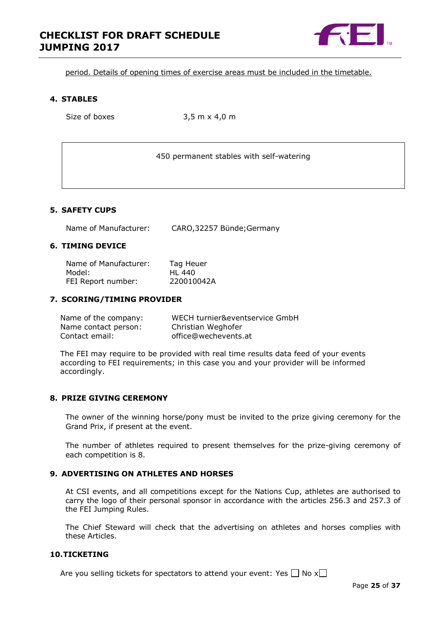

period. Details of opening times of exercise areas must be included in the timetable.

#### <span id="page-24-0"></span>**4. STABLES**

Size of boxes 3,5 m x 4,0 m

450 permanent stables with self-watering

### <span id="page-24-1"></span>**5. SAFETY CUPS**

Name of Manufacturer: CARO,32257 Bünde;Germany

#### <span id="page-24-2"></span>**6. TIMING DEVICE**

| Name of Manufacturer: | Tag Heuer  |
|-----------------------|------------|
| Model:                | HL 440     |
| FEI Report number:    | 220010042A |

#### <span id="page-24-3"></span>**7. SCORING/TIMING PROVIDER**

| Name of the company: | WECH turnier&eventservice GmbH |
|----------------------|--------------------------------|
| Name contact person: | Christian Weghofer             |
| Contact email:       | office@wechevents.at           |

The FEI may require to be provided with real time results data feed of your events according to FEI requirements; in this case you and your provider will be informed accordingly.

### <span id="page-24-4"></span>**8. PRIZE GIVING CEREMONY**

The owner of the winning horse/pony must be invited to the prize giving ceremony for the Grand Prix, if present at the event.

The number of athletes required to present themselves for the prize-giving ceremony of each competition is 8.

### <span id="page-24-5"></span>**9. ADVERTISING ON ATHLETES AND HORSES**

At CSI events, and all competitions except for the Nations Cup, athletes are authorised to carry the logo of their personal sponsor in accordance with the articles 256.3 and 257.3 of the FEI Jumping Rules.

The Chief Steward will check that the advertising on athletes and horses complies with these Articles.

### <span id="page-24-6"></span>**10.TICKETING**

Are you selling tickets for spectators to attend your event: Yes  $\Box$  No x $\Box$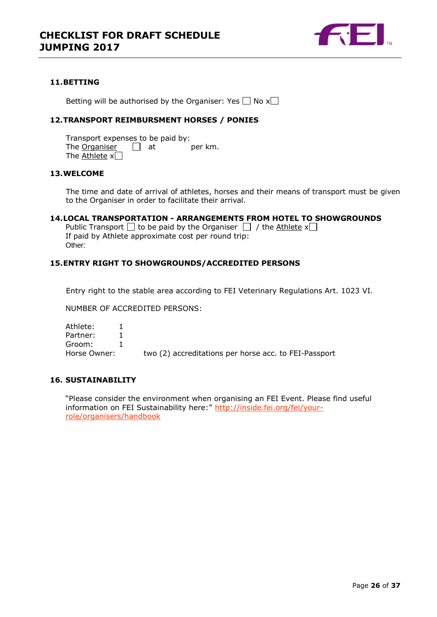

### <span id="page-25-0"></span>**11.BETTING**

Betting will be authorised by the Organiser: Yes  $\Box$  No x $\Box$ 

### <span id="page-25-1"></span>**12.TRANSPORT REIMBURSMENT HORSES / PONIES**

Transport expenses to be paid by: The Organiser  $\Box$  at per km. The Athlete  $x$ 

# <span id="page-25-2"></span>**13.WELCOME**

The time and date of arrival of athletes, horses and their means of transport must be given to the Organiser in order to facilitate their arrival.

#### <span id="page-25-3"></span>**14.LOCAL TRANSPORTATION - ARRANGEMENTS FROM HOTEL TO SHOWGROUNDS**

Public Transport  $\Box$  to be paid by the Organiser  $\Box$  / the Athlete x $\Box$ If paid by Athlete approximate cost per round trip: Other:

#### <span id="page-25-4"></span>**15.ENTRY RIGHT TO SHOWGROUNDS/ACCREDITED PERSONS**

Entry right to the stable area according to FEI Veterinary Regulations Art. 1023 VI.

NUMBER OF ACCREDITED PERSONS:

| Athlete:     |                                                       |
|--------------|-------------------------------------------------------|
| Partner:     |                                                       |
| Groom:       |                                                       |
| Horse Owner: | two (2) accreditations per horse acc. to FEI-Passport |

### <span id="page-25-5"></span>**16. SUSTAINABILITY**

"Please consider the environment when organising an FEI Event. Please find useful information on FEI Sustainability here:" [http://inside.fei.org/fei/your](http://inside.fei.org/fei/your-role/organisers/handbook)[role/organisers/handbook](http://inside.fei.org/fei/your-role/organisers/handbook)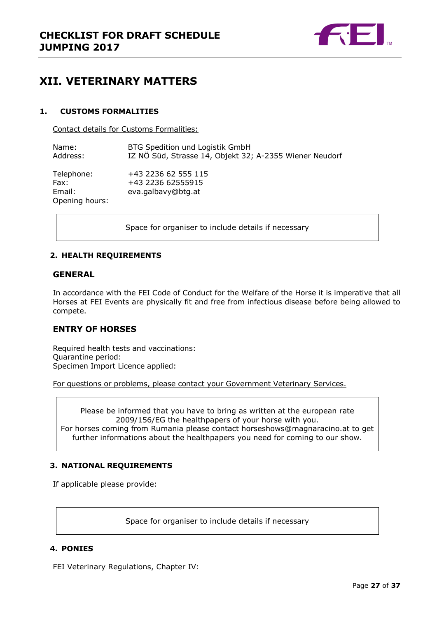

# <span id="page-26-0"></span>**XII. VETERINARY MATTERS**

### <span id="page-26-1"></span>**1. CUSTOMS FORMALITIES**

Contact details for Customs Formalities:

| Name:                                          | BTG Spedition und Logistik GmbH                                |
|------------------------------------------------|----------------------------------------------------------------|
| Address:                                       | IZ NÖ Süd, Strasse 14, Objekt 32; A-2355 Wiener Neudorf        |
| Telephone:<br>Fax:<br>Email:<br>Opening hours: | +43 2236 62 555 115<br>+43 2236 62555915<br>eva.galbavy@btg.at |

Space for organiser to include details if necessary

### <span id="page-26-2"></span>**2. HEALTH REQUIREMENTS**

### **GENERAL**

In accordance with the FEI Code of Conduct for the Welfare of the Horse it is imperative that all Horses at FEI Events are physically fit and free from infectious disease before being allowed to compete.

# **ENTRY OF HORSES**

Required health tests and vaccinations: Quarantine period: Specimen Import Licence applied:

For questions or problems, please contact your Government Veterinary Services.

Please be informed that you have to bring as written at the european rate 2009/156/EG the healthpapers of your horse with you. For horses coming from Rumania please contact horseshows@magnaracino.at to get further informations about the healthpapers you need for coming to our show.

### <span id="page-26-3"></span>**3. NATIONAL REQUIREMENTS**

If applicable please provide:

Space for organiser to include details if necessary

### <span id="page-26-4"></span>**4. PONIES**

FEI Veterinary Regulations, Chapter IV: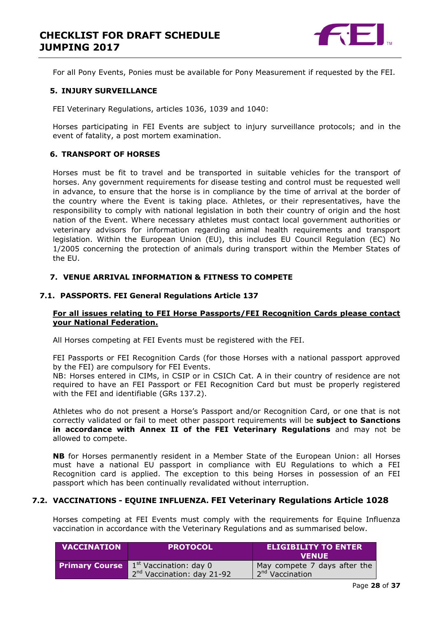

For all Pony Events, Ponies must be available for Pony Measurement if requested by the FEI.

#### <span id="page-27-0"></span>**5. INJURY SURVEILLANCE**

FEI Veterinary Regulations, articles 1036, 1039 and 1040:

Horses participating in FEI Events are subject to injury surveillance protocols; and in the event of fatality, a post mortem examination.

### <span id="page-27-1"></span>**6. TRANSPORT OF HORSES**

Horses must be fit to travel and be transported in suitable vehicles for the transport of horses. Any government requirements for disease testing and control must be requested well in advance, to ensure that the horse is in compliance by the time of arrival at the border of the country where the Event is taking place. Athletes, or their representatives, have the responsibility to comply with national legislation in both their country of origin and the host nation of the Event. Where necessary athletes must contact local government authorities or veterinary advisors for information regarding animal health requirements and transport legislation. Within the European Union (EU), this includes EU Council Regulation (EC) No 1/2005 concerning the protection of animals during transport within the Member States of the EU.

#### <span id="page-27-2"></span>**7. VENUE ARRIVAL INFORMATION & FITNESS TO COMPETE**

#### **7.1. PASSPORTS. FEI General Regulations Article 137**

#### **For all issues relating to FEI Horse Passports/FEI Recognition Cards please contact your National Federation.**

All Horses competing at FEI Events must be registered with the FEI.

FEI Passports or FEI Recognition Cards (for those Horses with a national passport approved by the FEI) are compulsory for FEI Events.

NB: Horses entered in CIMs, in CSIP or in CSICh Cat. A in their country of residence are not required to have an FEI Passport or FEI Recognition Card but must be properly registered with the FEI and identifiable (GRs 137.2).

Athletes who do not present a Horse's Passport and/or Recognition Card, or one that is not correctly validated or fail to meet other passport requirements will be **subject to Sanctions in accordance with Annex II of the FEI Veterinary Regulations** and may not be allowed to compete.

**NB** for Horses permanently resident in a Member State of the European Union: all Horses must have a national EU passport in compliance with EU Regulations to which a FEI Recognition card is applied. The exception to this being Horses in possession of an FEI passport which has been continually revalidated without interruption.

### **7.2. VACCINATIONS - EQUINE INFLUENZA. FEI Veterinary Regulations Article 1028**

Horses competing at FEI Events must comply with the requirements for Equine Influenza vaccination in accordance with the Veterinary Regulations and as summarised below.

| <b>VACCINATION</b>    | <b>PROTOCOL</b>                              | <b>ELIGIBILITY TO ENTER</b><br><b>VENUE</b> |
|-----------------------|----------------------------------------------|---------------------------------------------|
| <b>Primary Course</b> | $\Lambda$ 1 <sup>st</sup> Vaccination: day 0 | May compete 7 days after the                |
|                       | 2 <sup>nd</sup> Vaccination: day 21-92       | 12 <sup>nd</sup> Vaccination                |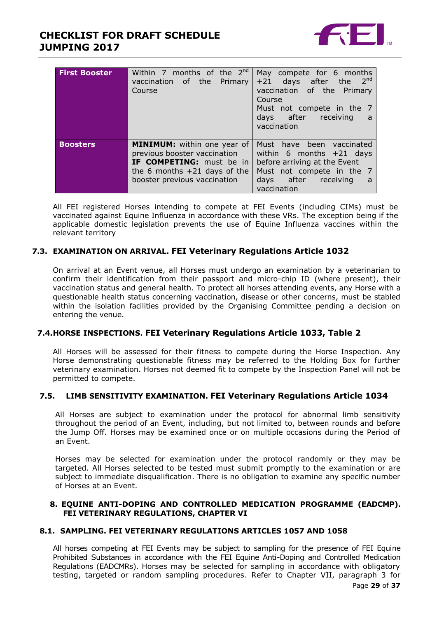# **CHECKLIST FOR DRAFT SCHEDULE JUMPING 2017**



| <b>First Booster</b> | Within 7 months of the $2^{nd}$<br>vaccination of the Primary<br>Course                                                                                                 | May compete for 6 months<br>2 <sup>nd</sup><br>+21 days after the<br>vaccination of the Primary<br>Course<br>Must not compete in the 7<br>days after receiving<br>- a<br>vaccination |
|----------------------|-------------------------------------------------------------------------------------------------------------------------------------------------------------------------|--------------------------------------------------------------------------------------------------------------------------------------------------------------------------------------|
| <b>Boosters</b>      | <b>MINIMUM:</b> within one year of<br>previous booster vaccination<br><b>IF COMPETING:</b> must be in<br>the 6 months $+21$ days of the<br>booster previous vaccination | Must have been vaccinated<br>within 6 months $+21$ days<br>before arriving at the Event<br>Must not compete in the 7<br>days after receiving<br>a<br>vaccination                     |

All FEI registered Horses intending to compete at FEI Events (including CIMs) must be vaccinated against Equine Influenza in accordance with these VRs. The exception being if the applicable domestic legislation prevents the use of Equine Influenza vaccines within the relevant territory

# **7.3. EXAMINATION ON ARRIVAL. FEI Veterinary Regulations Article 1032**

On arrival at an Event venue, all Horses must undergo an examination by a veterinarian to confirm their identification from their passport and micro-chip ID (where present), their vaccination status and general health. To protect all horses attending events, any Horse with a questionable health status concerning vaccination, disease or other concerns, must be stabled within the isolation facilities provided by the Organising Committee pending a decision on entering the venue.

### **7.4.HORSE INSPECTIONS. FEI Veterinary Regulations Article 1033, Table 2**

All Horses will be assessed for their fitness to compete during the Horse Inspection. Any Horse demonstrating questionable fitness may be referred to the Holding Box for further veterinary examination. Horses not deemed fit to compete by the Inspection Panel will not be permitted to compete.

### **7.5. LIMB SENSITIVITY EXAMINATION. FEI Veterinary Regulations Article 1034**

All Horses are subject to examination under the protocol for abnormal limb sensitivity throughout the period of an Event, including, but not limited to, between rounds and before the Jump Off. Horses may be examined once or on multiple occasions during the Period of an Event.

Horses may be selected for examination under the protocol randomly or they may be targeted. All Horses selected to be tested must submit promptly to the examination or are subject to immediate disqualification. There is no obligation to examine any specific number of Horses at an Event.

#### <span id="page-28-0"></span>**8. EQUINE ANTI-DOPING AND CONTROLLED MEDICATION PROGRAMME (EADCMP). FEI VETERINARY REGULATIONS, CHAPTER VI**

### **8.1. SAMPLING. FEI VETERINARY REGULATIONS ARTICLES 1057 AND 1058**

All horses competing at FEI Events may be subject to sampling for the presence of FEI Equine Prohibited Substances in accordance with the FEI Equine Anti-Doping and Controlled Medication Regulations (EADCMRs). Horses may be selected for sampling in accordance with obligatory testing, targeted or random sampling procedures. Refer to Chapter VII, paragraph 3 for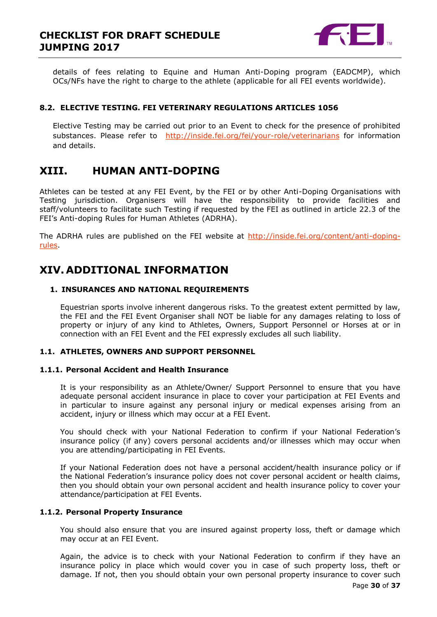

details of fees relating to Equine and Human Anti-Doping program (EADCMP), which OCs/NFs have the right to charge to the athlete (applicable for all FEI events worldwide).

### **8.2. ELECTIVE TESTING. FEI VETERINARY REGULATIONS ARTICLES 1056**

Elective Testing may be carried out prior to an Event to check for the presence of prohibited substances. Please refer to <http://inside.fei.org/fei/your-role/veterinarians> for information and details.

# <span id="page-29-0"></span>**XIII. HUMAN ANTI-DOPING**

Athletes can be tested at any FEI Event, by the FEI or by other Anti-Doping Organisations with Testing jurisdiction. Organisers will have the responsibility to provide facilities and staff/volunteers to facilitate such Testing if requested by the FEI as outlined in article 22.3 of the FEI's Anti-doping Rules for Human Athletes (ADRHA).

The ADRHA rules are published on the FEI website at [http://inside.fei.org/content/anti-doping](http://inside.fei.org/content/anti-doping-rules)[rules.](http://inside.fei.org/content/anti-doping-rules)

# <span id="page-29-1"></span>**XIV. ADDITIONAL INFORMATION**

### <span id="page-29-2"></span>**1. INSURANCES AND NATIONAL REQUIREMENTS**

Equestrian sports involve inherent dangerous risks. To the greatest extent permitted by law, the FEI and the FEI Event Organiser shall NOT be liable for any damages relating to loss of property or injury of any kind to Athletes, Owners, Support Personnel or Horses at or in connection with an FEI Event and the FEI expressly excludes all such liability.

### **1.1. ATHLETES, OWNERS AND SUPPORT PERSONNEL**

### **1.1.1. Personal Accident and Health Insurance**

It is your responsibility as an Athlete/Owner/ Support Personnel to ensure that you have adequate personal accident insurance in place to cover your participation at FEI Events and in particular to insure against any personal injury or medical expenses arising from an accident, injury or illness which may occur at a FEI Event.

You should check with your National Federation to confirm if your National Federation's insurance policy (if any) covers personal accidents and/or illnesses which may occur when you are attending/participating in FEI Events.

If your National Federation does not have a personal accident/health insurance policy or if the National Federation's insurance policy does not cover personal accident or health claims, then you should obtain your own personal accident and health insurance policy to cover your attendance/participation at FEI Events.

### **1.1.2. Personal Property Insurance**

You should also ensure that you are insured against property loss, theft or damage which may occur at an FEI Event.

Again, the advice is to check with your National Federation to confirm if they have an insurance policy in place which would cover you in case of such property loss, theft or damage. If not, then you should obtain your own personal property insurance to cover such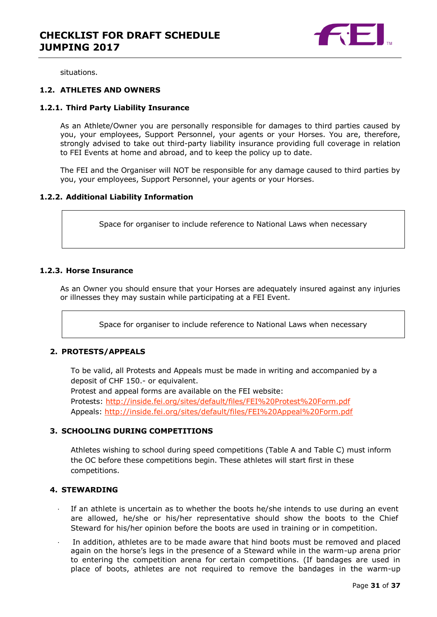

situations.

### **1.2. ATHLETES AND OWNERS**

#### **1.2.1. Third Party Liability Insurance**

As an Athlete/Owner you are personally responsible for damages to third parties caused by you, your employees, Support Personnel, your agents or your Horses. You are, therefore, strongly advised to take out third-party liability insurance providing full coverage in relation to FEI Events at home and abroad, and to keep the policy up to date.

The FEI and the Organiser will NOT be responsible for any damage caused to third parties by you, your employees, Support Personnel, your agents or your Horses.

#### **1.2.2. Additional Liability Information**

Space for organiser to include reference to National Laws when necessary

#### **1.2.3. Horse Insurance**

As an Owner you should ensure that your Horses are adequately insured against any injuries or illnesses they may sustain while participating at a FEI Event.

Space for organiser to include reference to National Laws when necessary

### <span id="page-30-0"></span>**2. PROTESTS/APPEALS**

To be valid, all Protests and Appeals must be made in writing and accompanied by a deposit of CHF 150.- or equivalent.

Protest and appeal forms are available on the FEI website:

Protests:<http://inside.fei.org/sites/default/files/FEI%20Protest%20Form.pdf> Appeals:<http://inside.fei.org/sites/default/files/FEI%20Appeal%20Form.pdf>

### <span id="page-30-1"></span>**3. SCHOOLING DURING COMPETITIONS**

Athletes wishing to school during speed competitions (Table A and Table C) must inform the OC before these competitions begin. These athletes will start first in these competitions.

### <span id="page-30-2"></span>**4. STEWARDING**

- If an athlete is uncertain as to whether the boots he/she intends to use during an event are allowed, he/she or his/her representative should show the boots to the Chief Steward for his/her opinion before the boots are used in training or in competition.
- In addition, athletes are to be made aware that hind boots must be removed and placed again on the horse's legs in the presence of a Steward while in the warm-up arena prior to entering the competition arena for certain competitions. (If bandages are used in place of boots, athletes are not required to remove the bandages in the warm-up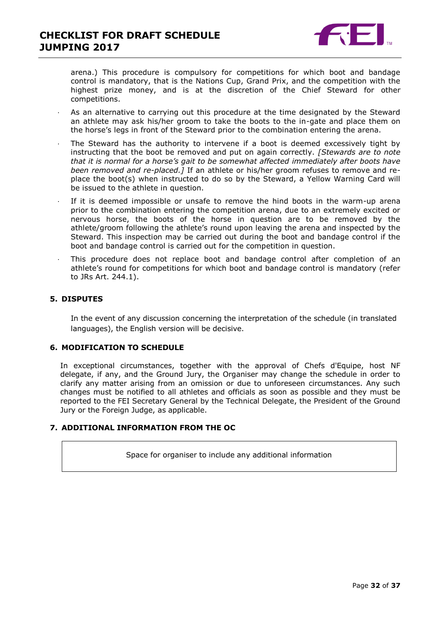

arena.) This procedure is compulsory for competitions for which boot and bandage control is mandatory, that is the Nations Cup, Grand Prix, and the competition with the highest prize money, and is at the discretion of the Chief Steward for other competitions.

- As an alternative to carrying out this procedure at the time designated by the Steward an athlete may ask his/her groom to take the boots to the in-gate and place them on the horse's legs in front of the Steward prior to the combination entering the arena.
- The Steward has the authority to intervene if a boot is deemed excessively tight by instructing that the boot be removed and put on again correctly. *[Stewards are to note that it is normal for a horse's gait to be somewhat affected immediately after boots have been removed and re-placed.]* If an athlete or his/her groom refuses to remove and replace the boot(s) when instructed to do so by the Steward, a Yellow Warning Card will be issued to the athlete in question.
- If it is deemed impossible or unsafe to remove the hind boots in the warm-up arena prior to the combination entering the competition arena, due to an extremely excited or nervous horse, the boots of the horse in question are to be removed by the athlete/groom following the athlete's round upon leaving the arena and inspected by the Steward. This inspection may be carried out during the boot and bandage control if the boot and bandage control is carried out for the competition in question.
- This procedure does not replace boot and bandage control after completion of an athlete's round for competitions for which boot and bandage control is mandatory (refer to JRs Art. 244.1).

### <span id="page-31-0"></span>**5. DISPUTES**

In the event of any discussion concerning the interpretation of the schedule (in translated languages), the English version will be decisive.

### <span id="page-31-1"></span>**6. MODIFICATION TO SCHEDULE**

In exceptional circumstances, together with the approval of Chefs d'Equipe, host NF delegate, if any, and the Ground Jury, the Organiser may change the schedule in order to clarify any matter arising from an omission or due to unforeseen circumstances. Any such changes must be notified to all athletes and officials as soon as possible and they must be reported to the FEI Secretary General by the Technical Delegate, the President of the Ground Jury or the Foreign Judge, as applicable.

### <span id="page-31-2"></span>**7. ADDITIONAL INFORMATION FROM THE OC**

Space for organiser to include any additional information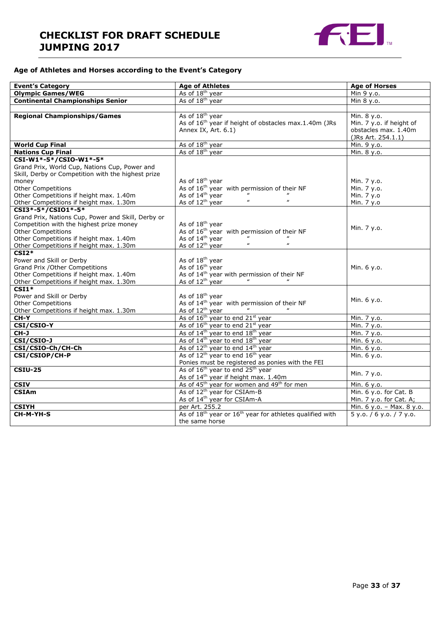# **CHECKLIST FOR DRAFT SCHEDULE JUMPING 2017**



### **Age of Athletes and Horses according to the Event's Category**

| <b>Event's Category</b>                            | <b>Age of Athletes</b>                                                           | <b>Age of Horses</b>      |  |
|----------------------------------------------------|----------------------------------------------------------------------------------|---------------------------|--|
| <b>Olympic Games/WEG</b>                           | As of 18 <sup>th</sup> year                                                      | Min 9 y.o.                |  |
| <b>Continental Championships Senior</b>            | As of 18 <sup>th</sup> year                                                      | Min 8 y.o.                |  |
|                                                    |                                                                                  |                           |  |
| <b>Regional Championships/Games</b>                | As of 18 <sup>th</sup> year                                                      | Min. 8 y.o.               |  |
|                                                    | As of 16 <sup>th</sup> year if height of obstacles max.1.40m (JRs                | Min. 7 y.o. if height of  |  |
|                                                    | Annex IX, Art. 6.1)                                                              | obstacles max. 1.40m      |  |
|                                                    |                                                                                  | (JRs Art. 254.1.1)        |  |
| <b>World Cup Final</b>                             | As of 18 <sup>th</sup> year                                                      | Min. 9 y.o.               |  |
| <b>Nations Cup Final</b>                           | As of 18 <sup>th</sup> year                                                      | Min. 8 y.o.               |  |
| CSI-W1*-5*/CSIO-W1*-5*                             |                                                                                  |                           |  |
| Grand Prix, World Cup, Nations Cup, Power and      |                                                                                  |                           |  |
| Skill, Derby or Competition with the highest prize |                                                                                  |                           |  |
| money                                              | As of 18 <sup>th</sup> year                                                      | Min. 7 y.o.               |  |
| Other Competitions                                 | As of $16^{th}$ year with permission of their NF<br>As of $14^{th}$ year "       | Min. 7 y.o.               |  |
| Other Competitions if height max. 1.40m            | $\boldsymbol{u}$<br>$\boldsymbol{\mu}$                                           | Min. 7 y.o                |  |
| Other Competitions if height max. 1.30m            | As of 12 <sup>th</sup> year                                                      | Min. 7 y.o                |  |
| CSI3*-5*/CSI01*-5*                                 |                                                                                  |                           |  |
| Grand Prix, Nations Cup, Power and Skill, Derby or |                                                                                  |                           |  |
| Competition with the highest prize money           | As of 18 <sup>th</sup> year                                                      | Min. 7 y.o.               |  |
| <b>Other Competitions</b>                          | As of 16 <sup>th</sup> year with permission of their NF                          |                           |  |
| Other Competitions if height max. 1.40m            | As of $14^{th}$ year<br>As of $12^{th}$ year<br>$\boldsymbol{\mu}$               |                           |  |
| Other Competitions if height max. 1.30m            | $\pmb{\mu}$                                                                      |                           |  |
| $CSI2*$                                            |                                                                                  |                           |  |
| Power and Skill or Derby                           | As of 18 <sup>th</sup> year                                                      |                           |  |
| Grand Prix / Other Competitions                    | As of 16 <sup>th</sup> year                                                      | Min. 6 y.o.               |  |
| Other Competitions if height max. 1.40m            | As of 14 <sup>th</sup> year with permission of their NF                          |                           |  |
| Other Competitions if height max. 1.30m            | As of 12 <sup>th</sup> year                                                      |                           |  |
| $CSI1*$                                            |                                                                                  |                           |  |
| Power and Skill or Derby                           | As of 18 <sup>th</sup> year                                                      | Min. 6 y.o.               |  |
| <b>Other Competitions</b>                          | As of 14 <sup>th</sup> year with permission of their NF                          |                           |  |
| Other Competitions if height max. 1.30m            | As of 12 <sup>th</sup> year                                                      |                           |  |
| CH-Y                                               | As of 16 <sup>th</sup> year to end 21 <sup>st</sup> year                         | Min. 7 y.o.               |  |
| CSI/CSIO-Y                                         | As of 16 <sup>th</sup> year to end 21 <sup>st</sup> year                         | Min. 7 y.o.               |  |
| CH-J                                               | As of 14 <sup>th</sup> year to end 18 <sup>th</sup> year                         | Min. 7 y.o.               |  |
| CSI/CSIO-J                                         | As of 14 <sup>th</sup> year to end 18 <sup>th</sup> year                         | Min. 6 y.o.               |  |
| CSI/CSIO-Ch/CH-Ch                                  | As of 12 <sup>th</sup> year to end 14 <sup>th</sup> year                         | Min. 6 y.o.               |  |
| CSI/CSIOP/CH-P                                     | As of 12 <sup>th</sup> year to end 16 <sup>th</sup> year                         | Min. 6 y.o.               |  |
|                                                    | Ponies must be registered as ponies with the FEI                                 |                           |  |
| <b>CSIU-25</b>                                     | As of 16 <sup>th</sup> year to end 25 <sup>th</sup> year                         | Min. 7 y.o.               |  |
|                                                    | As of 14 <sup>th</sup> year if height max. 1.40m                                 |                           |  |
| <b>CSIV</b>                                        | As of 45 <sup>th</sup> year for women and 49 <sup>th</sup> for men               | Min. 6 y.o.               |  |
| <b>CSIAm</b>                                       | As of 12 <sup>th</sup> year for CSIAm-B                                          | Min. 6 y.o. for Cat. B    |  |
|                                                    | As of 14 <sup>th</sup> year for CSIAm-A                                          | Min. 7 y.o. for Cat. A;   |  |
| <b>CSIYH</b>                                       | per Art. 255.2                                                                   | Min. 6 y.o. - Max. 8 y.o. |  |
| CH-M-YH-S                                          | As of 18 <sup>th</sup> year or 16 <sup>th</sup> year for athletes qualified with | 5 y.0. / 6 y.0. / 7 y.0.  |  |
|                                                    | the same horse                                                                   |                           |  |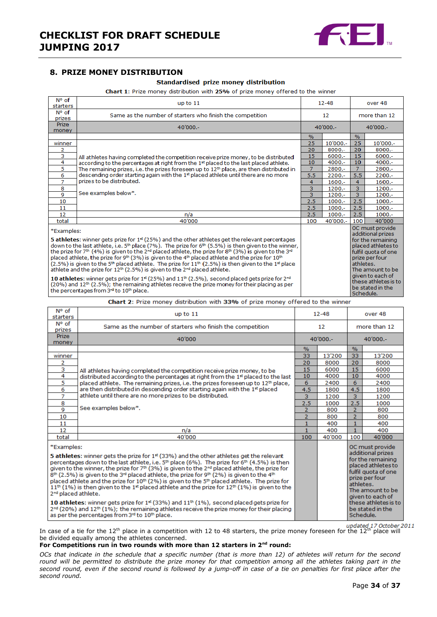

### <span id="page-33-0"></span>**8. PRIZE MONEY DISTRIBUTION**

#### Standardised prize money distribution

Chart 1: Prize money distribution with 25% of prize money offered to the winner

| $N^{\circ}$ of<br>starters                                                                                                                                                                                                                                                                                                                                                                                                                                                                                                                                                                                                                                                                                                                                         | up to 11                                                                                        |                                                                                                                                                           | $12 - 48$ | over 48        |                                                              |
|--------------------------------------------------------------------------------------------------------------------------------------------------------------------------------------------------------------------------------------------------------------------------------------------------------------------------------------------------------------------------------------------------------------------------------------------------------------------------------------------------------------------------------------------------------------------------------------------------------------------------------------------------------------------------------------------------------------------------------------------------------------------|-------------------------------------------------------------------------------------------------|-----------------------------------------------------------------------------------------------------------------------------------------------------------|-----------|----------------|--------------------------------------------------------------|
| N° of<br>prizes                                                                                                                                                                                                                                                                                                                                                                                                                                                                                                                                                                                                                                                                                                                                                    | Same as the number of starters who finish the competition                                       | 12                                                                                                                                                        |           | more than 12   |                                                              |
| <b>Prize</b><br>money                                                                                                                                                                                                                                                                                                                                                                                                                                                                                                                                                                                                                                                                                                                                              | $40'000 -$                                                                                      | $40'000 -$                                                                                                                                                |           | $40'000 -$     |                                                              |
|                                                                                                                                                                                                                                                                                                                                                                                                                                                                                                                                                                                                                                                                                                                                                                    |                                                                                                 | $\%$                                                                                                                                                      |           | $\%$           |                                                              |
| winner                                                                                                                                                                                                                                                                                                                                                                                                                                                                                                                                                                                                                                                                                                                                                             |                                                                                                 | 25                                                                                                                                                        | 10'000 .- | 25             | 10'000 .-                                                    |
| 2                                                                                                                                                                                                                                                                                                                                                                                                                                                                                                                                                                                                                                                                                                                                                                  |                                                                                                 | 20                                                                                                                                                        | $8000 -$  | 20             | $8000 -$                                                     |
| $\overline{\mathbf{3}}$                                                                                                                                                                                                                                                                                                                                                                                                                                                                                                                                                                                                                                                                                                                                            | All athletes having completed the competition receive prize money, to be distributed            | 15                                                                                                                                                        | $6000 -$  | 15             | $6000 -$                                                     |
| 4                                                                                                                                                                                                                                                                                                                                                                                                                                                                                                                                                                                                                                                                                                                                                                  | according to the percentages at right from the 1st placed to the last placed athlete.           | 10                                                                                                                                                        | $4000 -$  | 10             | $4000 -$                                                     |
| 5                                                                                                                                                                                                                                                                                                                                                                                                                                                                                                                                                                                                                                                                                                                                                                  | The remaining prizes, i.e. the prizes foreseen up to $12th$ place, are then distributed in      | $\overline{7}$<br>5.5                                                                                                                                     | 2800.-    | $\overline{7}$ | 2800 .-                                                      |
| 6                                                                                                                                                                                                                                                                                                                                                                                                                                                                                                                                                                                                                                                                                                                                                                  | descending order starting again with the 1 <sup>st</sup> placed athlete until there are no more |                                                                                                                                                           | $2200 -$  | 5.5            | 2200.-                                                       |
| 7                                                                                                                                                                                                                                                                                                                                                                                                                                                                                                                                                                                                                                                                                                                                                                  | prizes to be distributed.                                                                       | 4                                                                                                                                                         | $1600 -$  | 4              | $1600 -$                                                     |
| 8                                                                                                                                                                                                                                                                                                                                                                                                                                                                                                                                                                                                                                                                                                                                                                  | See examples below*.                                                                            | 3                                                                                                                                                         | $1200 -$  | 3              | $1200 -$                                                     |
| $\overline{Q}$                                                                                                                                                                                                                                                                                                                                                                                                                                                                                                                                                                                                                                                                                                                                                     |                                                                                                 | $\overline{\mathbf{3}}$                                                                                                                                   | 1200.-    | $\overline{3}$ | 1200.-                                                       |
| 10                                                                                                                                                                                                                                                                                                                                                                                                                                                                                                                                                                                                                                                                                                                                                                 |                                                                                                 | 2.5                                                                                                                                                       | $1000.-$  | 2.5            | $1000 -$                                                     |
| 11                                                                                                                                                                                                                                                                                                                                                                                                                                                                                                                                                                                                                                                                                                                                                                 |                                                                                                 | 2.5                                                                                                                                                       | $1000.-$  | 2.5            | $1000.-$                                                     |
| 12                                                                                                                                                                                                                                                                                                                                                                                                                                                                                                                                                                                                                                                                                                                                                                 | n/a                                                                                             | 2.5                                                                                                                                                       | $1000 -$  | 2.5            | $1000 -$                                                     |
| total                                                                                                                                                                                                                                                                                                                                                                                                                                                                                                                                                                                                                                                                                                                                                              | 40'000                                                                                          | 100                                                                                                                                                       | 40'000 .- | 100            | 40'000                                                       |
| *Examples:<br><b>5 athletes:</b> winner gets prize for $1^{\text{st}}$ (25%) and the other athletes get the relevant percentages<br>down to the last athlete, i.e. $5th$ place (7%). The prize for $6th$ (5.5%) is then given to the winner,<br>the prize for 7 <sup>th</sup> (4%) is given to the 2 <sup>nd</sup> placed athlete, the prize for 8 <sup>th</sup> (3%) is given to the 3 <sup>nd</sup><br>placed athlete, the prize for 9 <sup>th</sup> (3%) is given to the 4 <sup>th</sup> placed athlete and the prize for 10 <sup>th</sup><br>$(2.5\%)$ is given to the 5 <sup>th</sup> placed athlete. The prize for $11th$ (2.5%) is then given to the 1 <sup>st</sup> place<br>athlete and the prize for $12th$ (2.5%) is given to the $2nd$ placed athlete. |                                                                                                 | OC must provide<br>additional prizes<br>for the remaining<br>placed athletes to<br>fulfil quota of one<br>prize per four<br>athletes.<br>The amount to be |           |                |                                                              |
| 10 athletes: winner gets prize for $1st$ (25%) and $11th$ (2.5%), second placed gets prize for $2nd$<br>$(20%)$ and $12th$ (2.5%); the remaining athletes receive the prize money for their placing as per<br>the percentages from 3rd to 10th place.                                                                                                                                                                                                                                                                                                                                                                                                                                                                                                              |                                                                                                 |                                                                                                                                                           |           | Schedule.      | given to each of<br>these athletes is to<br>be stated in the |

Chart 2: Prize money distribution with 33% of prize money offered to the winner

| N° of<br>starters                                                                                                                                                                                                                                                                                                                                                                                                                                                                                                                                                                                                                                                                                                                                                                                                                                                                                                                                                                                        | up to 11                                                                                     |                         | $12 - 48$ |                                                                                                                                                                                                                           | over 48 |  |
|----------------------------------------------------------------------------------------------------------------------------------------------------------------------------------------------------------------------------------------------------------------------------------------------------------------------------------------------------------------------------------------------------------------------------------------------------------------------------------------------------------------------------------------------------------------------------------------------------------------------------------------------------------------------------------------------------------------------------------------------------------------------------------------------------------------------------------------------------------------------------------------------------------------------------------------------------------------------------------------------------------|----------------------------------------------------------------------------------------------|-------------------------|-----------|---------------------------------------------------------------------------------------------------------------------------------------------------------------------------------------------------------------------------|---------|--|
| N° of<br>prizes                                                                                                                                                                                                                                                                                                                                                                                                                                                                                                                                                                                                                                                                                                                                                                                                                                                                                                                                                                                          | Same as the number of starters who finish the competition                                    | 12                      |           | more than 12                                                                                                                                                                                                              |         |  |
| Prize<br>money                                                                                                                                                                                                                                                                                                                                                                                                                                                                                                                                                                                                                                                                                                                                                                                                                                                                                                                                                                                           | 40'000                                                                                       | 40'000 .-<br>$40'000 -$ |           |                                                                                                                                                                                                                           |         |  |
|                                                                                                                                                                                                                                                                                                                                                                                                                                                                                                                                                                                                                                                                                                                                                                                                                                                                                                                                                                                                          |                                                                                              | $\frac{0}{6}$           |           | $\%$                                                                                                                                                                                                                      |         |  |
| winner                                                                                                                                                                                                                                                                                                                                                                                                                                                                                                                                                                                                                                                                                                                                                                                                                                                                                                                                                                                                   |                                                                                              | 33                      | 13'200    | 33                                                                                                                                                                                                                        | 13'200  |  |
| 2                                                                                                                                                                                                                                                                                                                                                                                                                                                                                                                                                                                                                                                                                                                                                                                                                                                                                                                                                                                                        |                                                                                              | 20                      | 8000      | 20                                                                                                                                                                                                                        | 8000    |  |
| з                                                                                                                                                                                                                                                                                                                                                                                                                                                                                                                                                                                                                                                                                                                                                                                                                                                                                                                                                                                                        | All athletes having completed the competition receive prize money, to be                     | 15                      | 6000      | 15                                                                                                                                                                                                                        | 6000    |  |
| 4                                                                                                                                                                                                                                                                                                                                                                                                                                                                                                                                                                                                                                                                                                                                                                                                                                                                                                                                                                                                        | distributed according to the percentages at right from the 1st placed to the last            | 10                      | 4000      | 10                                                                                                                                                                                                                        | 4000    |  |
| 5                                                                                                                                                                                                                                                                                                                                                                                                                                                                                                                                                                                                                                                                                                                                                                                                                                                                                                                                                                                                        | placed athlete. The remaining prizes, i.e. the prizes foreseen up to 12 <sup>th</sup> place, | 6                       | 2400      | 6                                                                                                                                                                                                                         | 2400    |  |
| 6                                                                                                                                                                                                                                                                                                                                                                                                                                                                                                                                                                                                                                                                                                                                                                                                                                                                                                                                                                                                        | are then distributed in descending order starting again with the 1 <sup>st</sup> placed      | 4.5                     | 1800      | 4.5                                                                                                                                                                                                                       | 1800    |  |
| 7                                                                                                                                                                                                                                                                                                                                                                                                                                                                                                                                                                                                                                                                                                                                                                                                                                                                                                                                                                                                        | athlete until there are no more prizes to be distributed.                                    | 3                       | 1200      | 3                                                                                                                                                                                                                         | 1200    |  |
| 8                                                                                                                                                                                                                                                                                                                                                                                                                                                                                                                                                                                                                                                                                                                                                                                                                                                                                                                                                                                                        |                                                                                              | 2.5                     | 1000      | 2.5                                                                                                                                                                                                                       | 1000    |  |
| 9                                                                                                                                                                                                                                                                                                                                                                                                                                                                                                                                                                                                                                                                                                                                                                                                                                                                                                                                                                                                        | See examples below*.                                                                         | $\overline{2}$          | 800       | $\overline{2}$                                                                                                                                                                                                            | 800     |  |
| 10                                                                                                                                                                                                                                                                                                                                                                                                                                                                                                                                                                                                                                                                                                                                                                                                                                                                                                                                                                                                       |                                                                                              | $\overline{2}$          | 800       | $\overline{2}$                                                                                                                                                                                                            | 800     |  |
| 11                                                                                                                                                                                                                                                                                                                                                                                                                                                                                                                                                                                                                                                                                                                                                                                                                                                                                                                                                                                                       |                                                                                              | 1                       | 400       | $\mathbf{1}$                                                                                                                                                                                                              | 400     |  |
| 12                                                                                                                                                                                                                                                                                                                                                                                                                                                                                                                                                                                                                                                                                                                                                                                                                                                                                                                                                                                                       | n/a                                                                                          | 1                       | 400       | $\mathbf{1}$                                                                                                                                                                                                              | 400     |  |
| total                                                                                                                                                                                                                                                                                                                                                                                                                                                                                                                                                                                                                                                                                                                                                                                                                                                                                                                                                                                                    | 40'000                                                                                       | 100                     | 40'000    | 100                                                                                                                                                                                                                       | 40'000  |  |
| *Examples:<br>5 athletes: winner gets the prize for 1 <sup>st</sup> (33%) and the other athletes get the relevant<br>percentages down to the last athlete, i.e. $5th$ place (6%). The prize for 6 <sup>th</sup> (4.5%) is then<br>given to the winner, the prize for $7th$ (3%) is given to the $2nd$ placed athlete, the prize for<br>$8th$ (2.5%) is given to the 3 <sup>rd</sup> placed athlete, the prize for 9 <sup>th</sup> (2%) is given to the 4 <sup>th</sup><br>placed athlete and the prize for 10 <sup>th</sup> (2%) is given to the 5 <sup>th</sup> placed athlete. The prize for<br>11 <sup>th</sup> (1%) is then given to the 1 <sup>st</sup> placed athlete and the prize for 12 <sup>th</sup> (1%) is given to the<br>2 <sup>nd</sup> placed athlete.<br>10 athletes: winner gets prize for 1 <sup>st</sup> (33%) and 11 <sup>th</sup> (1%), second placed gets prize for<br>$2^{nd}$ (20%) and 12 <sup>th</sup> (1%); the remaining athletes receive the prize money for their placing |                                                                                              |                         |           | OC must provide<br>additional prizes<br>for the remaining<br>placed athletes to<br>fulfil quota of one<br>prize per four<br>athletes.<br>The amount to be<br>given to each of<br>these athletes is to<br>be stated in the |         |  |
| as per the percentages from 3rd to 10th place.                                                                                                                                                                                                                                                                                                                                                                                                                                                                                                                                                                                                                                                                                                                                                                                                                                                                                                                                                           |                                                                                              |                         |           | Schedule.                                                                                                                                                                                                                 |         |  |

In case of a tie for the 12<sup>th</sup> place in a competition with 12 to 48 starters, the prize money foreseen for the 12<sup>th</sup> place will be divided equally among the athletes concerned.

**For Competitions run in two rounds with more than 12 starters in 2nd round:**

*OCs that indicate in the schedule that a specific number (that is more than 12) of athletes will return for the second*  round will be permitted to distribute the prize money for that competition among all the athletes taking part in the *second round, even if the second round is followed by a jump-off in case of a tie on penalties for first place after the second round.*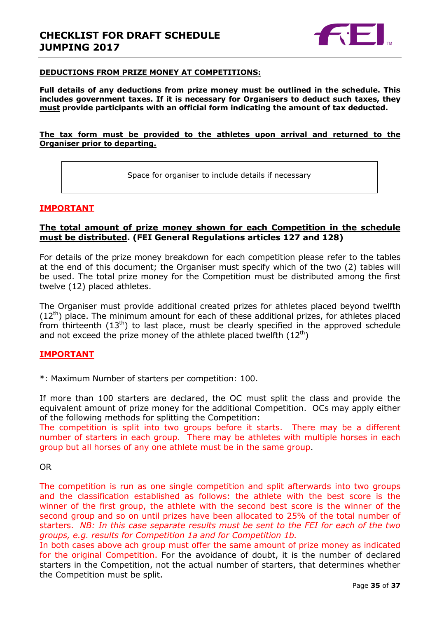

### **DEDUCTIONS FROM PRIZE MONEY AT COMPETITIONS:**

**Full details of any deductions from prize money must be outlined in the schedule. This includes government taxes. If it is necessary for Organisers to deduct such taxes, they must provide participants with an official form indicating the amount of tax deducted.** 

### **The tax form must be provided to the athletes upon arrival and returned to the Organiser prior to departing.**

Space for organiser to include details if necessary

# **IMPORTANT**

# **The total amount of prize money shown for each Competition in the schedule must be distributed. (FEI General Regulations articles 127 and 128)**

For details of the prize money breakdown for each competition please refer to the tables at the end of this document; the Organiser must specify which of the two (2) tables will be used. The total prize money for the Competition must be distributed among the first twelve (12) placed athletes.

The Organiser must provide additional created prizes for athletes placed beyond twelfth  $(12<sup>th</sup>)$  place. The minimum amount for each of these additional prizes, for athletes placed from thirteenth  $(13<sup>th</sup>)$  to last place, must be clearly specified in the approved schedule and not exceed the prize money of the athlete placed twelfth  $(12<sup>th</sup>)$ 

# **IMPORTANT**

\*: Maximum Number of starters per competition: 100.

If more than 100 starters are declared, the OC must split the class and provide the equivalent amount of prize money for the additional Competition. OCs may apply either of the following methods for splitting the Competition:

The competition is split into two groups before it starts. There may be a different number of starters in each group. There may be athletes with multiple horses in each group but all horses of any one athlete must be in the same group.

### OR

The competition is run as one single competition and split afterwards into two groups and the classification established as follows: the athlete with the best score is the winner of the first group, the athlete with the second best score is the winner of the second group and so on until prizes have been allocated to 25% of the total number of starters. *NB: In this case separate results must be sent to the FEI for each of the two groups, e.g. results for Competition 1a and for Competition 1b.*

In both cases above ach group must offer the same amount of prize money as indicated for the original Competition. For the avoidance of doubt, it is the number of declared starters in the Competition, not the actual number of starters, that determines whether the Competition must be split.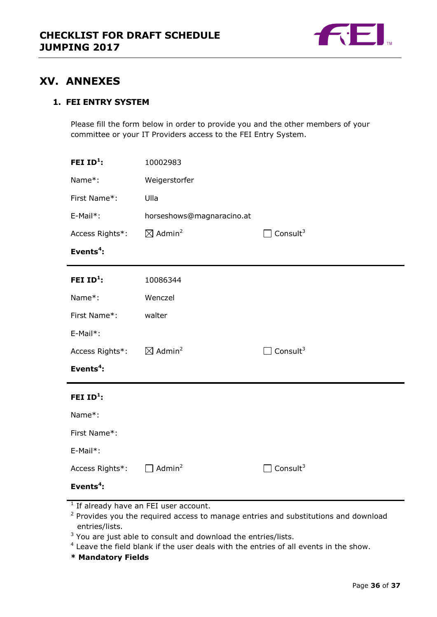

# <span id="page-35-0"></span>**XV. ANNEXES**

# **1. FEI ENTRY SYSTEM**

Please fill the form below in order to provide you and the other members of your committee or your IT Providers access to the FEI Entry System.

| FEI $ID^1$ :          | 10002983                       |                             |
|-----------------------|--------------------------------|-----------------------------|
| Name*:                | Weigerstorfer                  |                             |
| First Name*:          | Ulla                           |                             |
| $E-Mail*$ :           | horseshows@magnaracino.at      |                             |
| Access Rights*:       | $\boxtimes$ Admin <sup>2</sup> | $\Box$ Consult <sup>3</sup> |
| Events <sup>4</sup> : |                                |                             |
| FEI $ID^1$ :          | 10086344                       |                             |
| Name*:                | Wenczel                        |                             |
| First Name*:          | walter                         |                             |
| E-Mail*:              |                                |                             |
| Access Rights*:       | $\boxtimes$ Admin <sup>2</sup> | $\Box$ Consult <sup>3</sup> |
| Events <sup>4</sup> : |                                |                             |
| FEI $ID1$ :           |                                |                             |
| Name*:                |                                |                             |
| First Name*:          |                                |                             |
| E-Mail*:              |                                |                             |
| Access Rights*:       | Admin <sup>2</sup>             | Consult $3$                 |
| Events $4$ :          |                                |                             |

- <sup>1</sup> If already have an FEI user account.
- $2$  Provides you the required access to manage entries and substitutions and download entries/lists.
- $3$  You are just able to consult and download the entries/lists.
- <sup>4</sup> Leave the field blank if the user deals with the entries of all events in the show.
- **\* Mandatory Fields**